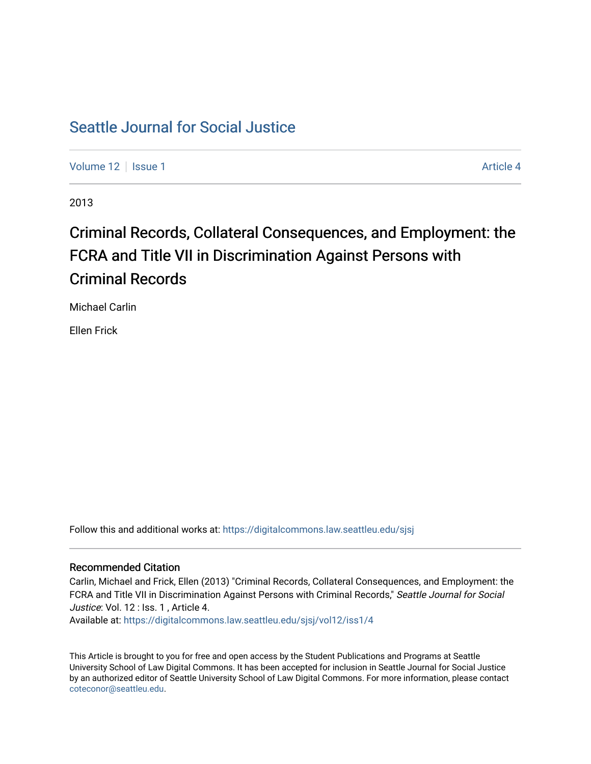## [Seattle Journal for Social Justice](https://digitalcommons.law.seattleu.edu/sjsj)

[Volume 12](https://digitalcommons.law.seattleu.edu/sjsj/vol12) | [Issue 1](https://digitalcommons.law.seattleu.edu/sjsj/vol12/iss1) Article 4

2013

# Criminal Records, Collateral Consequences, and Employment: the FCRA and Title VII in Discrimination Against Persons with Criminal Records

Michael Carlin

Ellen Frick

Follow this and additional works at: [https://digitalcommons.law.seattleu.edu/sjsj](https://digitalcommons.law.seattleu.edu/sjsj?utm_source=digitalcommons.law.seattleu.edu%2Fsjsj%2Fvol12%2Fiss1%2F4&utm_medium=PDF&utm_campaign=PDFCoverPages)

## Recommended Citation

Carlin, Michael and Frick, Ellen (2013) "Criminal Records, Collateral Consequences, and Employment: the FCRA and Title VII in Discrimination Against Persons with Criminal Records," Seattle Journal for Social Justice: Vol. 12 : Iss. 1, Article 4. Available at: [https://digitalcommons.law.seattleu.edu/sjsj/vol12/iss1/4](https://digitalcommons.law.seattleu.edu/sjsj/vol12/iss1/4?utm_source=digitalcommons.law.seattleu.edu%2Fsjsj%2Fvol12%2Fiss1%2F4&utm_medium=PDF&utm_campaign=PDFCoverPages)

This Article is brought to you for free and open access by the Student Publications and Programs at Seattle University School of Law Digital Commons. It has been accepted for inclusion in Seattle Journal for Social Justice by an authorized editor of Seattle University School of Law Digital Commons. For more information, please contact [coteconor@seattleu.edu.](mailto:coteconor@seattleu.edu)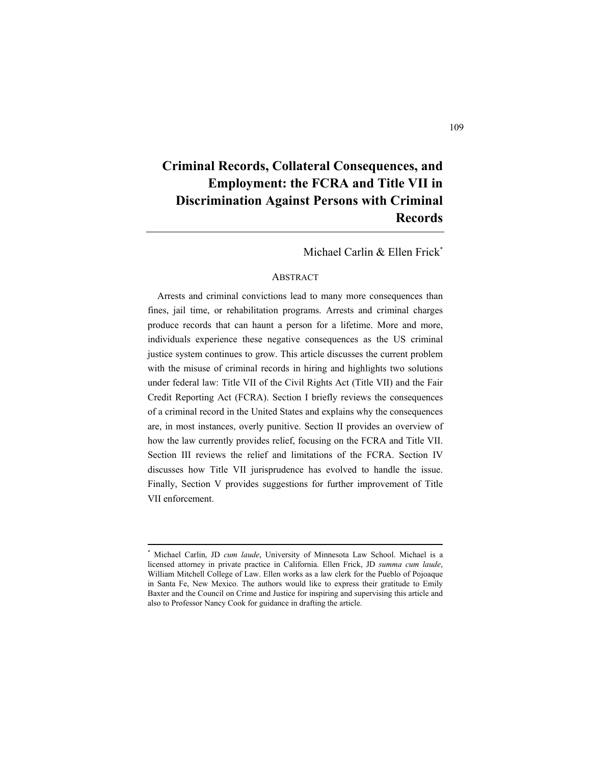## **Criminal Records, Collateral Consequences, and Employment: the FCRA and Title VII in Discrimination Against Persons with Criminal Records**

Michael Carlin & Ellen Frick\*

#### ABSTRACT

Arrests and criminal convictions lead to many more consequences than fines, jail time, or rehabilitation programs. Arrests and criminal charges produce records that can haunt a person for a lifetime. More and more, individuals experience these negative consequences as the US criminal justice system continues to grow. This article discusses the current problem with the misuse of criminal records in hiring and highlights two solutions under federal law: Title VII of the Civil Rights Act (Title VII) and the Fair Credit Reporting Act (FCRA). Section I briefly reviews the consequences of a criminal record in the United States and explains why the consequences are, in most instances, overly punitive. Section II provides an overview of how the law currently provides relief, focusing on the FCRA and Title VII. Section III reviews the relief and limitations of the FCRA. Section IV discusses how Title VII jurisprudence has evolved to handle the issue. Finally, Section V provides suggestions for further improvement of Title VII enforcement.

<sup>\*</sup> Michael Carlin, JD *cum laude*, University of Minnesota Law School. Michael is a licensed attorney in private practice in California. Ellen Frick, JD *summa cum laude*, William Mitchell College of Law. Ellen works as a law clerk for the Pueblo of Pojoaque in Santa Fe, New Mexico. The authors would like to express their gratitude to Emily Baxter and the Council on Crime and Justice for inspiring and supervising this article and also to Professor Nancy Cook for guidance in drafting the article.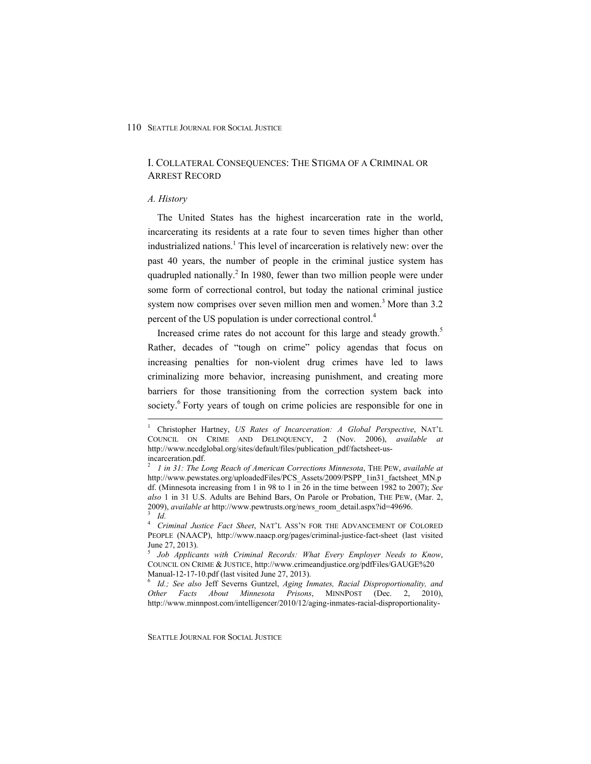## I. COLLATERAL CONSEQUENCES: THE STIGMA OF A CRIMINAL OR ARREST RECORD

#### *A. History*

 $\overline{a}$ 

The United States has the highest incarceration rate in the world, incarcerating its residents at a rate four to seven times higher than other industrialized nations.<sup>1</sup> This level of incarceration is relatively new: over the past 40 years, the number of people in the criminal justice system has quadrupled nationally.<sup>2</sup> In 1980, fewer than two million people were under some form of correctional control, but today the national criminal justice system now comprises over seven million men and women.<sup>3</sup> More than  $3.2$ percent of the US population is under correctional control.4

Increased crime rates do not account for this large and steady growth.<sup>5</sup> Rather, decades of "tough on crime" policy agendas that focus on increasing penalties for non-violent drug crimes have led to laws criminalizing more behavior, increasing punishment, and creating more barriers for those transitioning from the correction system back into society.<sup>6</sup> Forty years of tough on crime policies are responsible for one in

<sup>&</sup>lt;sup>1</sup> Christopher Hartney, *US Rates of Incarceration: A Global Perspective*, NAT'L COUNCIL ON CRIME AND DELINQUENCY, 2 (Nov. 2006), *available at*  http://www.nccdglobal.org/sites/default/files/publication\_pdf/factsheet-usincarceration.pdf.

<sup>2</sup>  *1 in 31: The Long Reach of American Corrections Minnesota*, THE PEW, *available at*  http://www.pewstates.org/uploadedFiles/PCS\_Assets/2009/PSPP\_1in31\_factsheet\_MN.p df. (Minnesota increasing from 1 in 98 to 1 in 26 in the time between 1982 to 2007); *See also* 1 in 31 U.S. Adults are Behind Bars, On Parole or Probation, THE PEW, (Mar. 2, 2009), *available at* http://www.pewtrusts.org/news\_room\_detail.aspx?id=49696. 3  *Id.*

<sup>4</sup>  *Criminal Justice Fact Sheet*, NAT'L ASS'N FOR THE ADVANCEMENT OF COLORED PEOPLE (NAACP), http://www.naacp.org/pages/criminal-justice-fact-sheet (last visited June 27, 2013).

<sup>5</sup>  *Job Applicants with Criminal Records: What Every Employer Needs to Know*, COUNCIL ON CRIME & JUSTICE, http://www.crimeandjustice.org/pdfFiles/GAUGE%20 Manual-12-17-10.pdf (last visited June 27, 2013).

<sup>6</sup>  *Id.; See also* Jeff Severns Guntzel, *Aging Inmates, Racial Disproportionality, and Other Facts About Minnesota Prisons*, MINNPOST (Dec. 2, 2010), http://www.minnpost.com/intelligencer/2010/12/aging-inmates-racial-disproportionality-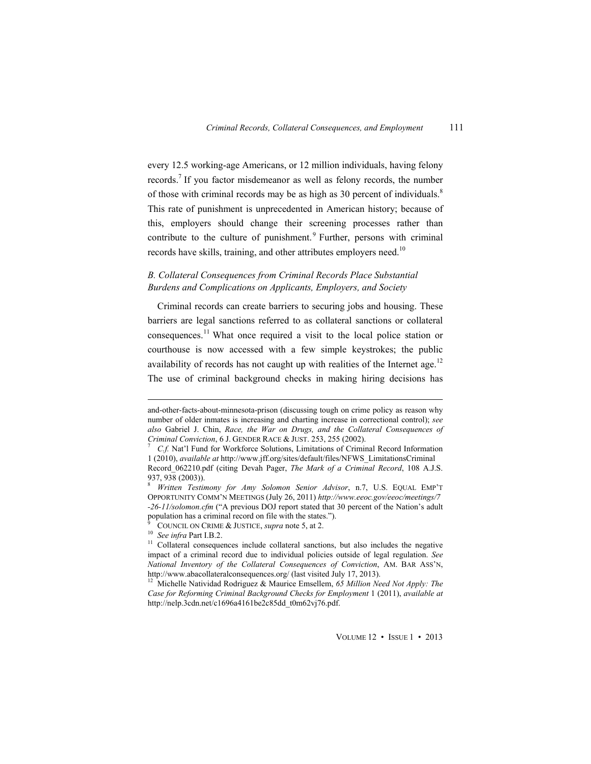every 12.5 working-age Americans, or 12 million individuals, having felony records.<sup>7</sup> If you factor misdemeanor as well as felony records, the number of those with criminal records may be as high as 30 percent of individuals.<sup>8</sup> This rate of punishment is unprecedented in American history; because of this, employers should change their screening processes rather than contribute to the culture of punishment.<sup>9</sup> Further, persons with criminal records have skills, training, and other attributes employers need.<sup>10</sup>

## *B. Collateral Consequences from Criminal Records Place Substantial Burdens and Complications on Applicants, Employers, and Society*

Criminal records can create barriers to securing jobs and housing. These barriers are legal sanctions referred to as collateral sanctions or collateral consequences.<sup>11</sup> What once required a visit to the local police station or courthouse is now accessed with a few simple keystrokes; the public availability of records has not caught up with realities of the Internet age.<sup>12</sup> The use of criminal background checks in making hiring decisions has

and-other-facts-about-minnesota-prison (discussing tough on crime policy as reason why number of older inmates is increasing and charting increase in correctional control); *see also* Gabriel J. Chin, *Race, the War on Drugs, and the Collateral Consequences of Criminal Conviction*, 6 J. GENDER RACE & JUST. 253, 255 (2002). 7

*C.f.* Nat'l Fund for Workforce Solutions, Limitations of Criminal Record Information 1 (2010), *available at* http://www.jff.org/sites/default/files/NFWS\_LimitationsCriminal Record\_062210.pdf (citing Devah Pager, *The Mark of a Criminal Record*, 108 A.J.S. 937, 938 (2003)).

<sup>8</sup>  *Written Testimony for Amy Solomon Senior Advisor*, n.7, U.S. EQUAL EMP'T OPPORTUNITY COMM'N MEETINGS (July 26, 2011) *http://www.eeoc.gov/eeoc/meetings/7 -26-11/solomon.cfm* ("A previous DOJ report stated that 30 percent of the Nation's adult population has a criminal record on file with the states.").<br><sup>9</sup> COUNCIL ON CRIME & JUSTICE, *supra* note 5, at 2.

ĝ

<sup>&</sup>lt;sup>10</sup> See infra Part I.B.2.<br><sup>11</sup> Collateral consequences include collateral sanctions, but also includes the negative impact of a criminal record due to individual policies outside of legal regulation. *See National Inventory of the Collateral Consequences of Conviction*, AM. BAR ASS'N, http://www.abacollateralconsequences.org/ (last visited July 17, 2013).

<sup>&</sup>lt;sup>12</sup> Michelle Natividad Rodriguez & Maurice Emsellem, 65 Million Need Not Apply: The *Case for Reforming Criminal Background Checks for Employment* 1 (2011), *available at*  http://nelp.3cdn.net/c1696a4161be2c85dd\_t0m62vj76.pdf.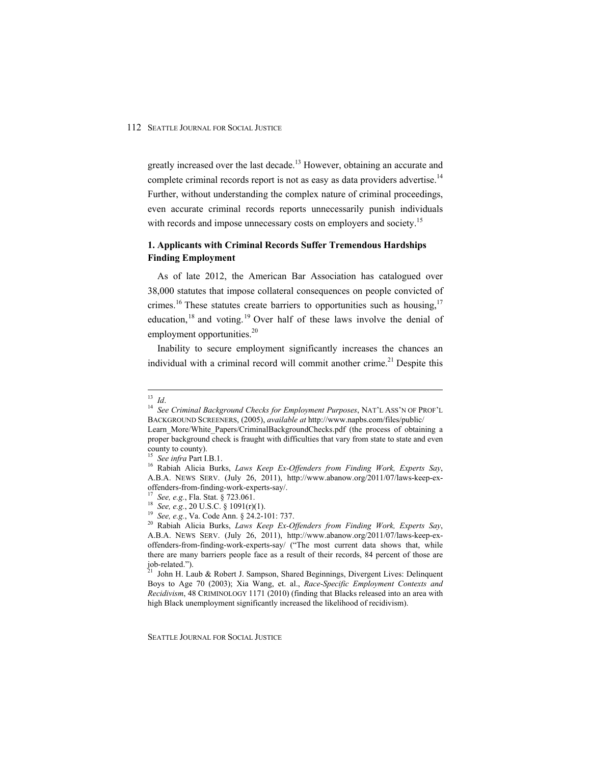greatly increased over the last decade.<sup>13</sup> However, obtaining an accurate and complete criminal records report is not as easy as data providers advertise.<sup>14</sup> Further, without understanding the complex nature of criminal proceedings, even accurate criminal records reports unnecessarily punish individuals with records and impose unnecessary costs on employers and society.<sup>15</sup>

## **1. Applicants with Criminal Records Suffer Tremendous Hardships Finding Employment**

As of late 2012, the American Bar Association has catalogued over 38,000 statutes that impose collateral consequences on people convicted of crimes.<sup>16</sup> These statutes create barriers to opportunities such as housing.<sup>17</sup> education,  $18$  and voting. <sup>19</sup> Over half of these laws involve the denial of employment opportunities.<sup>20</sup>

Inability to secure employment significantly increases the chances an individual with a criminal record will commit another crime.<sup>21</sup> Despite this

 $^{21}$  John H. Laub & Robert J. Sampson, Shared Beginnings, Divergent Lives: Delinquent Boys to Age 70 (2003); Xia Wang, et. al., *Race-Specific Employment Contexts and Recidivism*, 48 CRIMINOLOGY 1171 (2010) (finding that Blacks released into an area with high Black unemployment significantly increased the likelihood of recidivism).

 $^{13}$  Id.

<sup>&</sup>lt;sup>14</sup> See Criminal Background Checks for Employment Purposes, NAT'L ASS'N OF PROF'L BACKGROUND SCREENERS, (2005), *available at* http://www.napbs.com/files/public/ Learn More/White Papers/CriminalBackgroundChecks.pdf (the process of obtaining a proper background check is fraught with difficulties that vary from state to state and even

county to county).

<sup>&</sup>lt;sup>15</sup> See infra Part I.B.1.<br><sup>16</sup> Rabiah Alicia Burks, *Laws Keep Ex-Offenders from Finding Work, Experts Say*, A.B.A. NEWS SERV. (July 26, 2011), http://www.abanow.org/2011/07/laws-keep-exoffenders-from-finding-work-experts-say/.

<sup>&</sup>lt;sup>17</sup> See, e.g., Fla. Stat. § 723.061.<br><sup>18</sup> See, e.g., 20 U.S.C. § 1091(r)(1).<br><sup>19</sup> See, e.g., Va. Code Ann. § 24.2-101: 737.<br><sup>20</sup> Rabiah Alicia Burks, *Laws Keep Ex-Offenders from Finding Work*, *Experts Say*, A.B.A. NEWS SERV. (July 26, 2011), http://www.abanow.org/2011/07/laws-keep-exoffenders-from-finding-work-experts-say/ ("The most current data shows that, while there are many barriers people face as a result of their records, 84 percent of those are job-related.").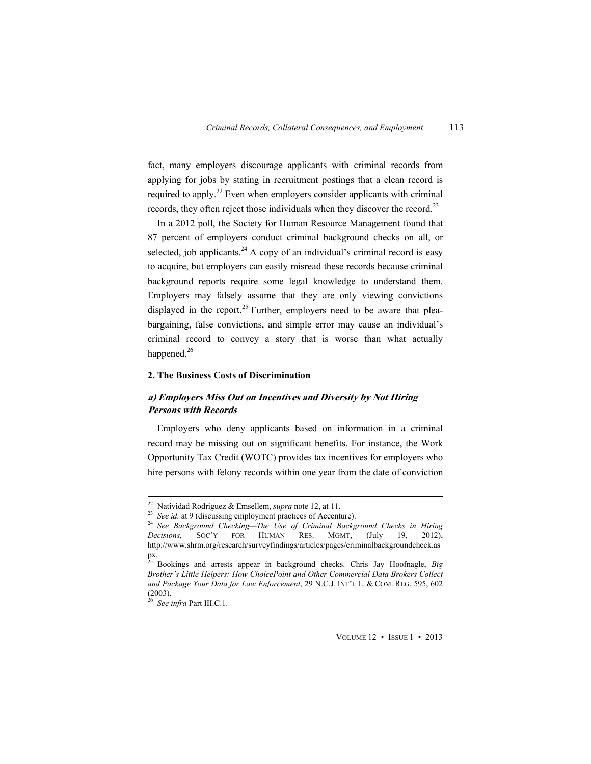fact, many employers discourage applicants with criminal records from applying for jobs by stating in recruitment postings that a clean record is required to apply.<sup>22</sup> Even when employers consider applicants with criminal records, they often reject those individuals when they discover the record.<sup>23</sup>

In a 2012 poll, the Society for Human Resource Management found that 87 percent of employers conduct criminal background checks on all, or selected, job applicants.<sup>24</sup> A copy of an individual's criminal record is easy to acquire, but employers can easily misread these records because criminal background reports require some legal knowledge to understand them. Employers may falsely assume that they are only viewing convictions displayed in the report.<sup>25</sup> Further, employers need to be aware that pleabargaining, false convictions, and simple error may cause an individual's criminal record to convey a story that is worse than what actually happened.<sup>26</sup>

#### **2. The Business Costs of Discrimination**

## **a) Employers Miss Out on Incentives and Diversity by Not Hiring Persons with Records**

Employers who deny applicants based on information in a criminal record may be missing out on significant benefits. For instance, the Work Opportunity Tax Credit (WOTC) provides tax incentives for employers who hire persons with felony records within one year from the date of conviction

<sup>&</sup>lt;sup>22</sup> Natividad Rodriguez & Emsellem, *supra* note 12, at 11.

<sup>23</sup> See id. at 9 (discussing employment practices of Accenture).<br><sup>24</sup> See Background Checking—The Use of Criminal Background Checks in Hiring *Decisions,* SOC'Y FOR HUMAN RES. MGMT, (July 19, 2012), http://www.shrm.org/research/surveyfindings/articles/pages/criminalbackgroundcheck.as px.

<sup>25</sup> Bookings and arrests appear in background checks. Chris Jay Hoofnagle, *Big Brother's Little Helpers: How ChoicePoint and Other Commercial Data Brokers Collect and Package Your Data for Law Enforcement*, 29 N.C.J. INT'L L. & COM. REG. 595, 602 (2003).

<sup>26</sup> *See infra* Part III.C.1.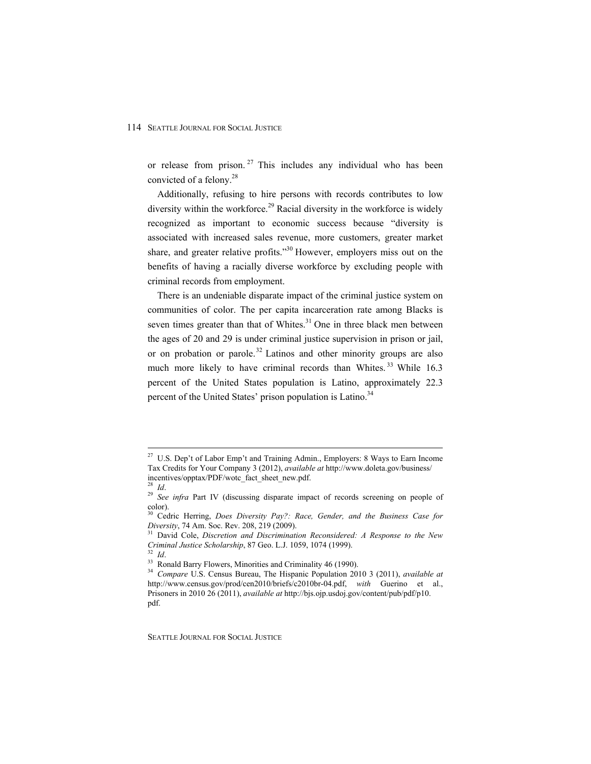or release from prison.<sup>27</sup> This includes any individual who has been convicted of a felony.<sup>28</sup>

Additionally, refusing to hire persons with records contributes to low diversity within the workforce.<sup>29</sup> Racial diversity in the workforce is widely recognized as important to economic success because "diversity is associated with increased sales revenue, more customers, greater market share, and greater relative profits."<sup>30</sup> However, employers miss out on the benefits of having a racially diverse workforce by excluding people with criminal records from employment.

There is an undeniable disparate impact of the criminal justice system on communities of color. The per capita incarceration rate among Blacks is seven times greater than that of Whites. $31$  One in three black men between the ages of 20 and 29 is under criminal justice supervision in prison or jail, or on probation or parole.<sup>32</sup> Latinos and other minority groups are also much more likely to have criminal records than Whites.<sup>33</sup> While 16.3 percent of the United States population is Latino, approximately 22.3 percent of the United States' prison population is Latino.<sup>34</sup>

 $\overline{a}$ 

<sup>&</sup>lt;sup>27</sup> U.S. Dep't of Labor Emp't and Training Admin., Employers: 8 Ways to Earn Income Tax Credits for Your Company 3 (2012), *available at* http://www.doleta.gov/business/ incentives/opptax/PDF/wotc\_fact\_sheet\_new.pdf.

<sup>&</sup>lt;sup>29</sup> See infra Part IV (discussing disparate impact of records screening on people of color).

<sup>30</sup> Cedric Herring, *Does Diversity Pay?: Race, Gender, and the Business Case for* 

*Diversity*, 74 Am. Soc. Rev. 208, 219 (2009).<br><sup>31</sup> David Cole, *Discretion and Discrimination Reconsidered: A Response to the New Criminal Justice Scholarship, 87 Geo. L.J. 1059, 1074 (1999).* 

*Criminal Subtice Scholarship*, 87 Geo. 232 *Id.* 33<sup>2</sup> *Id.* 33<sup>3</sup> Ronald Barry Flowers, Minorities and Criminality 46 (1990).

<sup>34</sup> *Compare* U.S. Census Bureau, The Hispanic Population 2010 3 (2011), *available at* http://www.census.gov/prod/cen2010/briefs/c2010br-04.pdf, *with* Guerino et al., Prisoners in 2010 26 (2011), *available at* http://bjs.ojp.usdoj.gov/content/pub/pdf/p10. pdf.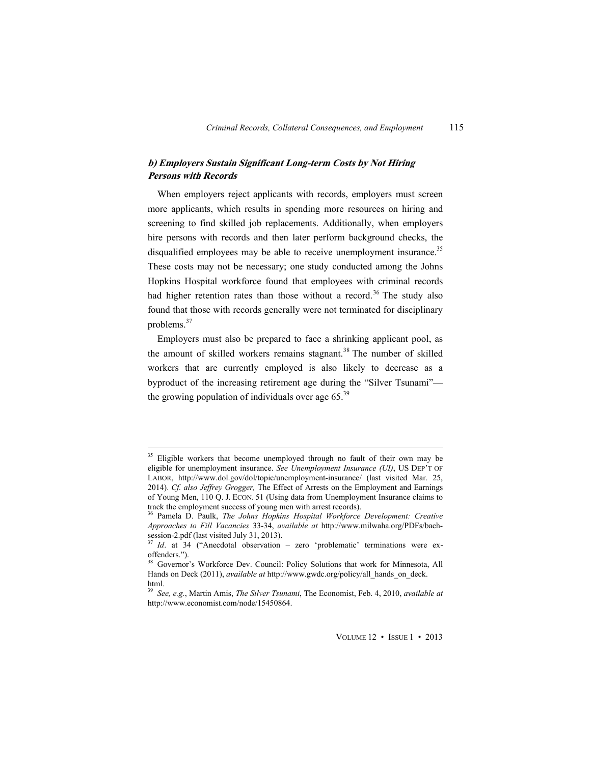## **b) Employers Sustain Significant Long-term Costs by Not Hiring Persons with Records**

When employers reject applicants with records, employers must screen more applicants, which results in spending more resources on hiring and screening to find skilled job replacements. Additionally, when employers hire persons with records and then later perform background checks, the disqualified employees may be able to receive unemployment insurance.<sup>35</sup> These costs may not be necessary; one study conducted among the Johns Hopkins Hospital workforce found that employees with criminal records had higher retention rates than those without a record.<sup>36</sup> The study also found that those with records generally were not terminated for disciplinary problems.<sup>37</sup>

Employers must also be prepared to face a shrinking applicant pool, as the amount of skilled workers remains stagnant.<sup>38</sup> The number of skilled workers that are currently employed is also likely to decrease as a byproduct of the increasing retirement age during the "Silver Tsunami" the growing population of individuals over age  $65<sup>39</sup>$ 

<sup>&</sup>lt;sup>35</sup> Eligible workers that become unemployed through no fault of their own may be eligible for unemployment insurance. *See Unemployment Insurance (UI)*, US DEP'T OF LABOR, http://www.dol.gov/dol/topic/unemployment-insurance/ (last visited Mar. 25, 2014). *Cf. also Jeffrey Grogger,* The Effect of Arrests on the Employment and Earnings of Young Men, 110 Q. J. ECON. 51 (Using data from Unemployment Insurance claims to track the employment success of young men with arrest records).

<sup>36</sup> Pamela D. Paulk, *The Johns Hopkins Hospital Workforce Development: Creative Approaches to Fill Vacancies* 33-34, *available at* http://www.milwaha.org/PDFs/bachsession-2.pdf (last visited July 31, 2013).

<sup>&</sup>lt;sup>37</sup> Id. at 34 ("Anecdotal observation – zero 'problematic' terminations were exoffenders.").

<sup>38</sup> Governor's Workforce Dev. Council: Policy Solutions that work for Minnesota, All Hands on Deck (2011), *available at* http://www.gwdc.org/policy/all\_hands\_on\_deck. html.

<sup>39</sup> *See, e.g.*, Martin Amis, *The Silver Tsunami*, The Economist, Feb. 4, 2010, *available at* http://www.economist.com/node/15450864.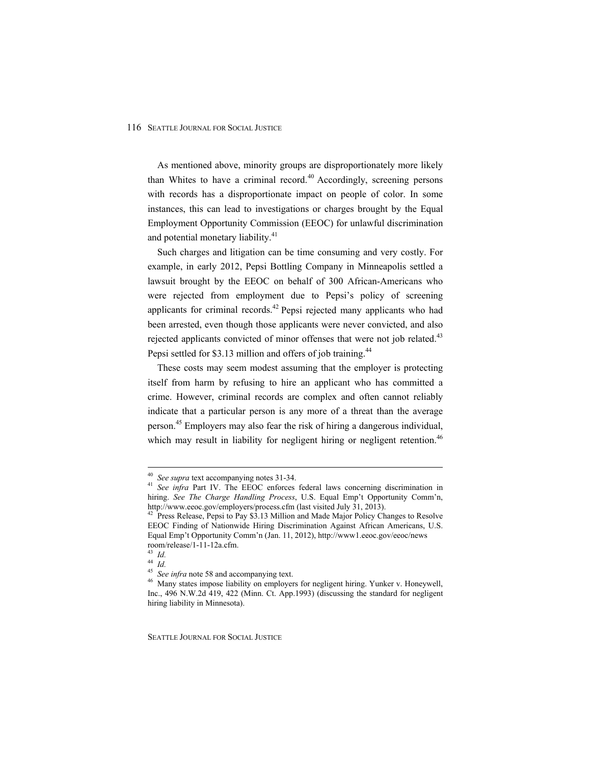As mentioned above, minority groups are disproportionately more likely than Whites to have a criminal record.<sup>40</sup> Accordingly, screening persons with records has a disproportionate impact on people of color. In some instances, this can lead to investigations or charges brought by the Equal Employment Opportunity Commission (EEOC) for unlawful discrimination and potential monetary liability.<sup>41</sup>

Such charges and litigation can be time consuming and very costly. For example, in early 2012, Pepsi Bottling Company in Minneapolis settled a lawsuit brought by the EEOC on behalf of 300 African-Americans who were rejected from employment due to Pepsi's policy of screening applicants for criminal records.<sup>42</sup> Pepsi rejected many applicants who had been arrested, even though those applicants were never convicted, and also rejected applicants convicted of minor offenses that were not job related.<sup>43</sup> Pepsi settled for \$3.13 million and offers of job training.<sup>44</sup>

These costs may seem modest assuming that the employer is protecting itself from harm by refusing to hire an applicant who has committed a crime. However, criminal records are complex and often cannot reliably indicate that a particular person is any more of a threat than the average person.45 Employers may also fear the risk of hiring a dangerous individual, which may result in liability for negligent hiring or negligent retention.<sup>46</sup>

<sup>&</sup>lt;sup>40</sup> See supra text accompanying notes 31-34.

<sup>&</sup>lt;sup>41</sup> See infra Part IV. The EEOC enforces federal laws concerning discrimination in hiring. *See The Charge Handling Process*, U.S. Equal Emp't Opportunity Comm'n, http://www.eeoc.gov/employers/process.cfm (last visited July 31, 2013).

<sup>&</sup>lt;sup>42</sup> Press Release, Pepsi to Pay \$3.13 Million and Made Major Policy Changes to Resolve EEOC Finding of Nationwide Hiring Discrimination Against African Americans, U.S. Equal Emp't Opportunity Comm'n (Jan. 11, 2012), http://www1.eeoc.gov/eeoc/news room/release/1-11-12a.cfm.

<sup>43</sup> *Id.*

<sup>&</sup>lt;sup>44</sup> *Id.*<br><sup>45</sup> *See infra* note 58 and accompanying text.

<sup>&</sup>lt;sup>46</sup> Many states impose liability on employers for negligent hiring. Yunker v. Honeywell, Inc., 496 N.W.2d 419, 422 (Minn. Ct. App.1993) (discussing the standard for negligent hiring liability in Minnesota).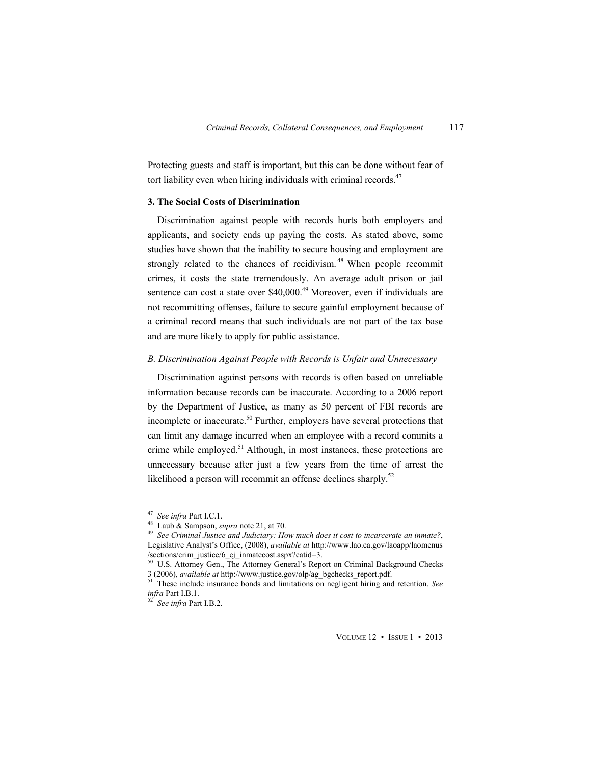Protecting guests and staff is important, but this can be done without fear of tort liability even when hiring individuals with criminal records.<sup>47</sup>

## **3. The Social Costs of Discrimination**

Discrimination against people with records hurts both employers and applicants, and society ends up paying the costs. As stated above, some studies have shown that the inability to secure housing and employment are strongly related to the chances of recidivism.<sup>48</sup> When people recommit crimes, it costs the state tremendously. An average adult prison or jail sentence can cost a state over  $$40,000$ .<sup>49</sup> Moreover, even if individuals are not recommitting offenses, failure to secure gainful employment because of a criminal record means that such individuals are not part of the tax base and are more likely to apply for public assistance.

#### *B. Discrimination Against People with Records is Unfair and Unnecessary*

Discrimination against persons with records is often based on unreliable information because records can be inaccurate. According to a 2006 report by the Department of Justice, as many as 50 percent of FBI records are incomplete or inaccurate.<sup>50</sup> Further, employers have several protections that can limit any damage incurred when an employee with a record commits a crime while employed.<sup>51</sup> Although, in most instances, these protections are unnecessary because after just a few years from the time of arrest the likelihood a person will recommit an offense declines sharply.<sup>52</sup>

 $47\,$ 

<sup>47</sup> *See infra* Part I.C.1. 48 Laub & Sampson, *supra* note 21, at 70. 49 *See Criminal Justice and Judiciary: How much does it cost to incarcerate an inmate?*, Legislative Analyst's Office, (2008), *available at* http://www.lao.ca.gov/laoapp/laomenus /sections/crim\_justice/6\_cj\_inmatecost.aspx?catid=3.

<sup>&</sup>lt;sup>50</sup> U.S. Attorney Gen., The Attorney General's Report on Criminal Background Checks 3 (2006), *available at http://www.justice.gov/olp/ag bgchecks report.pdf.* 

<sup>&</sup>lt;sup>51</sup> These include insurance bonds and limitations on negligent hiring and retention. *See infra* Part I.B.1. 52 *See infra* Part I.B.2.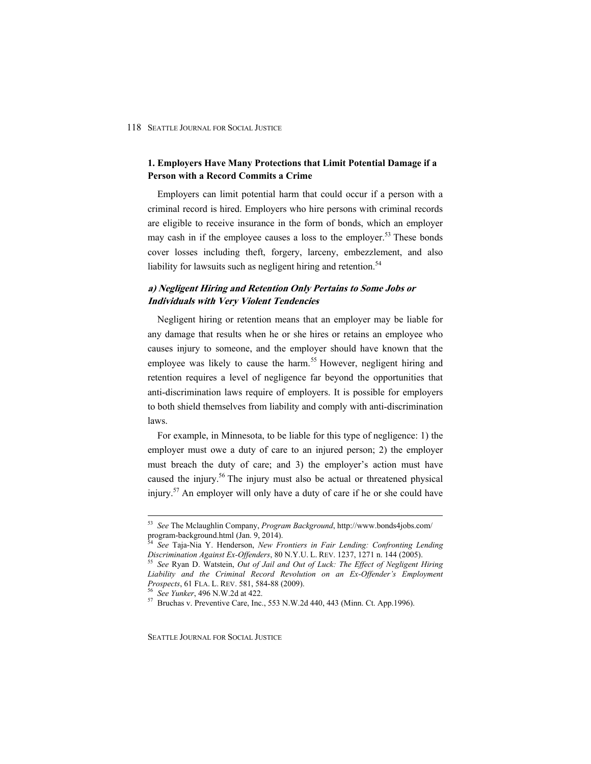## **1. Employers Have Many Protections that Limit Potential Damage if a Person with a Record Commits a Crime**

Employers can limit potential harm that could occur if a person with a criminal record is hired. Employers who hire persons with criminal records are eligible to receive insurance in the form of bonds, which an employer may cash in if the employee causes a loss to the employer.<sup>53</sup> These bonds cover losses including theft, forgery, larceny, embezzlement, and also liability for lawsuits such as negligent hiring and retention.<sup>54</sup>

## **a) Negligent Hiring and Retention Only Pertains to Some Jobs or Individuals with Very Violent Tendencies**

Negligent hiring or retention means that an employer may be liable for any damage that results when he or she hires or retains an employee who causes injury to someone, and the employer should have known that the employee was likely to cause the harm.<sup>55</sup> However, negligent hiring and retention requires a level of negligence far beyond the opportunities that anti-discrimination laws require of employers. It is possible for employers to both shield themselves from liability and comply with anti-discrimination laws.

For example, in Minnesota, to be liable for this type of negligence: 1) the employer must owe a duty of care to an injured person; 2) the employer must breach the duty of care; and 3) the employer's action must have caused the injury.<sup>56</sup> The injury must also be actual or threatened physical injury.57 An employer will only have a duty of care if he or she could have

<sup>53</sup> *See* The Mclaughlin Company, *Program Background*, http://www.bonds4jobs.com/ program-background.html (Jan. 9, 2014).

<sup>&</sup>lt;sup>54</sup> See Taja-Nia Y. Henderson, *New Frontiers in Fair Lending: Confronting Lending Discrimination Against Ex-Offenders, 80 N.Y.U.L. REV. 1237, 1271 n. 144 (2005).* 

<sup>&</sup>lt;sup>55</sup> See Ryan D. Watstein, *Out of Jail and Out of Luck: The Effect of Negligent Hiring Liability and the Criminal Record Revolution on an Ex-Offender's Employment* 

<sup>&</sup>lt;sup>56</sup> See Yunker, 496 N.W.2d at 422.<br><sup>57</sup> Bruchas v. Preventive Care, Inc., 553 N.W.2d 440, 443 (Minn. Ct. App.1996).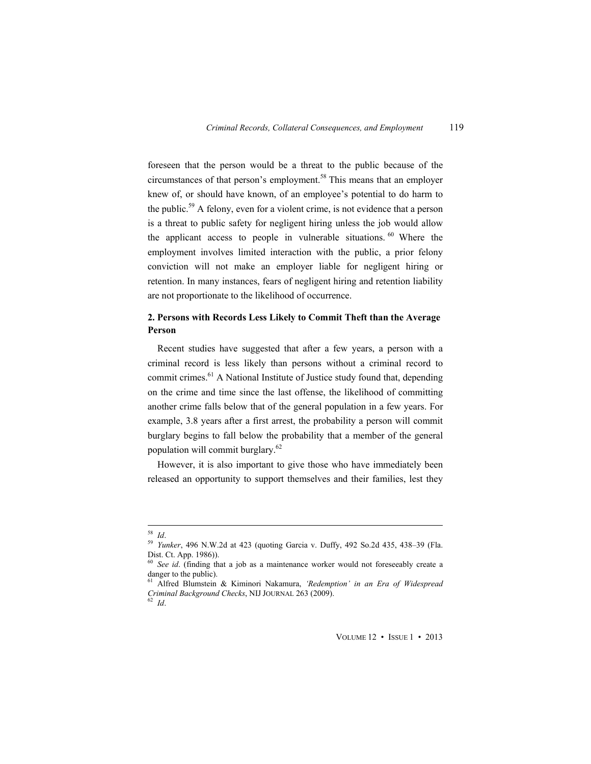foreseen that the person would be a threat to the public because of the circumstances of that person's employment.<sup>58</sup> This means that an employer knew of, or should have known, of an employee's potential to do harm to the public.<sup>59</sup> A felony, even for a violent crime, is not evidence that a person is a threat to public safety for negligent hiring unless the job would allow the applicant access to people in vulnerable situations.<sup>60</sup> Where the employment involves limited interaction with the public, a prior felony conviction will not make an employer liable for negligent hiring or retention. In many instances, fears of negligent hiring and retention liability are not proportionate to the likelihood of occurrence.

## **2. Persons with Records Less Likely to Commit Theft than the Average Person**

Recent studies have suggested that after a few years, a person with a criminal record is less likely than persons without a criminal record to commit crimes.<sup>61</sup> A National Institute of Justice study found that, depending on the crime and time since the last offense, the likelihood of committing another crime falls below that of the general population in a few years. For example, 3.8 years after a first arrest, the probability a person will commit burglary begins to fall below the probability that a member of the general population will commit burglary.62

However, it is also important to give those who have immediately been released an opportunity to support themselves and their families, lest they

 $^{58}$   $\emph{Id.}$ 

<sup>58</sup> *Id*. 59 *Yunker*, 496 N.W.2d at 423 (quoting Garcia v. Duffy, 492 So.2d 435, 438–39 (Fla. Dist. Ct. App. 1986)).

<sup>&</sup>lt;sup>60</sup> See id. (finding that a job as a maintenance worker would not foreseeably create a danger to the public).

<sup>61</sup> Alfred Blumstein & Kiminori Nakamura, *'Redemption' in an Era of Widespread Criminal Background Checks*, NIJ JOURNAL 263 (2009). 62 *Id*.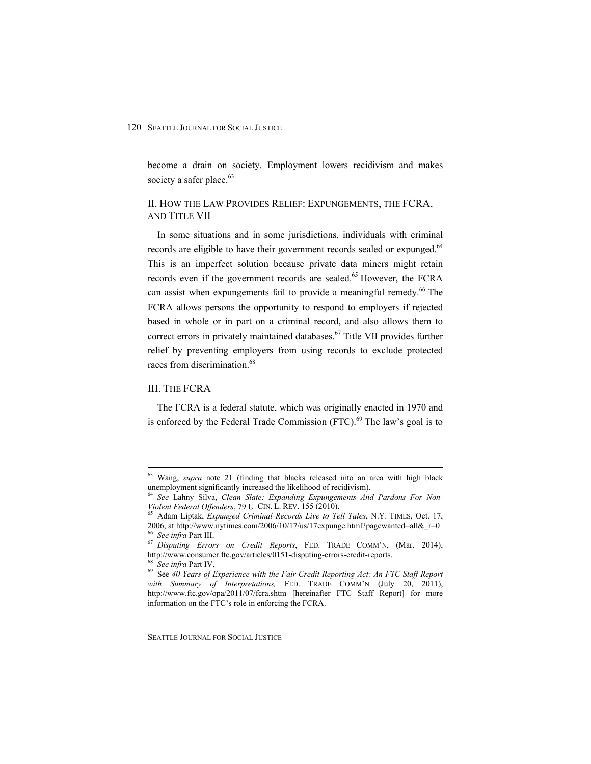become a drain on society. Employment lowers recidivism and makes society a safer place.<sup>63</sup>

## II. HOW THE LAW PROVIDES RELIEF: EXPUNGEMENTS, THE FCRA, AND TITLE VII

In some situations and in some jurisdictions, individuals with criminal records are eligible to have their government records sealed or expunged.<sup>64</sup> This is an imperfect solution because private data miners might retain records even if the government records are sealed.<sup>65</sup> However, the FCRA can assist when expungements fail to provide a meaningful remedy.<sup>66</sup> The FCRA allows persons the opportunity to respond to employers if rejected based in whole or in part on a criminal record, and also allows them to correct errors in privately maintained databases.<sup>67</sup> Title VII provides further relief by preventing employers from using records to exclude protected races from discrimination.<sup>68</sup>

#### III. THE FCRA

 $\overline{a}$ 

The FCRA is a federal statute, which was originally enacted in 1970 and is enforced by the Federal Trade Commission  $(FTC)$ .<sup>69</sup> The law's goal is to

 $63$  Wang, *supra* note 21 (finding that blacks released into an area with high black unemployment significantly increased the likelihood of recidivism).

See Lahny Silva, *Clean Slate: Expanding Expungements And Pardons For Non-Violent Federal Offenders*, 79 U. CIN. L. REV. 155 (2010).<br><sup>65</sup> Adam Liptak, *Expunged Criminal Records Live to Tell Tales*, N.Y. TIMES, Oct. 17,

<sup>2006,</sup> at http://www.nytimes.com/2006/10/17/us/17expunge.html?pagewanted=all&\_r=0 % See infra Part III.

<sup>&</sup>lt;sup>67</sup> Disputing Errors on Credit Reports, FED. TRADE COMM'N, (Mar. 2014), http://www.consumer.ftc.gov/articles/0151-disputing-errors-credit-reports.<br><sup>68</sup> See infra Part IV.<br><sup>69</sup> See 40 Years of Experience with the Fair Credit Reporting Act: An FTC Staff Report

with Summary of Interpretations, FED. TRADE COMM'N (July 20, 2011), http://www.ftc.gov/opa/2011/07/fcra.shtm [hereinafter FTC Staff Report] for more information on the FTC's role in enforcing the FCRA.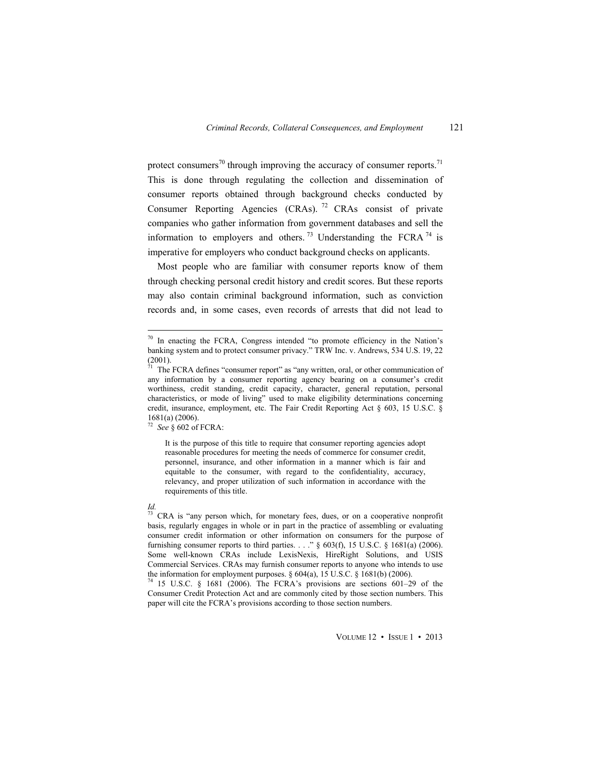protect consumers<sup>70</sup> through improving the accuracy of consumer reports.<sup>71</sup> This is done through regulating the collection and dissemination of consumer reports obtained through background checks conducted by Consumer Reporting Agencies  $(CRAs)$ . <sup>72</sup> CRAs consist of private companies who gather information from government databases and sell the information to employers and others.<sup>73</sup> Understanding the FCRA  $^{74}$  is imperative for employers who conduct background checks on applicants.

Most people who are familiar with consumer reports know of them through checking personal credit history and credit scores. But these reports may also contain criminal background information, such as conviction records and, in some cases, even records of arrests that did not lead to

<sup>72</sup> *See* § 602 of FCRA:

It is the purpose of this title to require that consumer reporting agencies adopt reasonable procedures for meeting the needs of commerce for consumer credit, personnel, insurance, and other information in a manner which is fair and equitable to the consumer, with regard to the confidentiality, accuracy, relevancy, and proper utilization of such information in accordance with the requirements of this title.

#### *Id.*

 $70$  In enacting the FCRA, Congress intended "to promote efficiency in the Nation's banking system and to protect consumer privacy." TRW Inc. v. Andrews, 534 U.S. 19, 22 (2001).

 $7<sup>1</sup>$  The FCRA defines "consumer report" as "any written, oral, or other communication of any information by a consumer reporting agency bearing on a consumer's credit worthiness, credit standing, credit capacity, character, general reputation, personal characteristics, or mode of living" used to make eligibility determinations concerning credit, insurance, employment, etc. The Fair Credit Reporting Act § 603, 15 U.S.C. § 1681(a) (2006).

 $73$  CRA is "any person which, for monetary fees, dues, or on a cooperative nonprofit basis, regularly engages in whole or in part in the practice of assembling or evaluating consumer credit information or other information on consumers for the purpose of furnishing consumer reports to third parties. . . . "  $\S$  603(f), 15 U.S.C.  $\S$  1681(a) (2006). Some well-known CRAs include LexisNexis, HireRight Solutions, and USIS Commercial Services. CRAs may furnish consumer reports to anyone who intends to use the information for employment purposes.  $\S$  604(a), 15 U.S.C.  $\S$  1681(b) (2006).

<sup>74 15</sup> U.S.C. § 1681 (2006). The FCRA's provisions are sections 601–29 of the Consumer Credit Protection Act and are commonly cited by those section numbers. This paper will cite the FCRA's provisions according to those section numbers.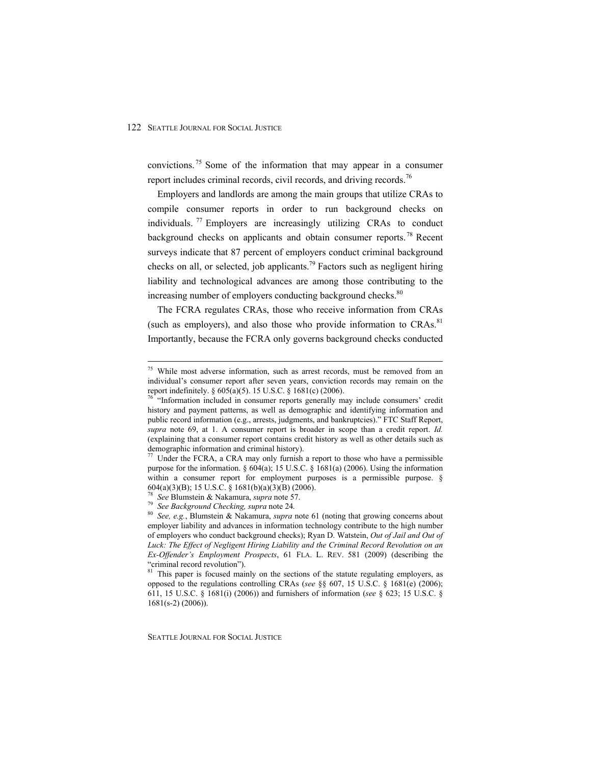convictions. 75 Some of the information that may appear in a consumer report includes criminal records, civil records, and driving records.<sup>76</sup>

Employers and landlords are among the main groups that utilize CRAs to compile consumer reports in order to run background checks on individuals. <sup>77</sup> Employers are increasingly utilizing CRAs to conduct background checks on applicants and obtain consumer reports.<sup>78</sup> Recent surveys indicate that 87 percent of employers conduct criminal background checks on all, or selected, job applicants.<sup>79</sup> Factors such as negligent hiring liability and technological advances are among those contributing to the increasing number of employers conducting background checks.<sup>80</sup>

The FCRA regulates CRAs, those who receive information from CRAs (such as employers), and also those who provide information to CRAs.<sup>81</sup> Importantly, because the FCRA only governs background checks conducted

 $\overline{a}$ 

<sup>&</sup>lt;sup>75</sup> While most adverse information, such as arrest records, must be removed from an individual's consumer report after seven years, conviction records may remain on the report indefinitely. § 605(a)(5). 15 U.S.C. § 1681(c) (2006).

 $76$  "Information included in consumer reports generally may include consumers' credit history and payment patterns, as well as demographic and identifying information and public record information (e.g., arrests, judgments, and bankruptcies)." FTC Staff Report, *supra* note 69, at 1. A consumer report is broader in scope than a credit report. *Id.* (explaining that a consumer report contains credit history as well as other details such as demographic information and criminal history).<br><sup>77</sup> Under the FCRA, a CRA may only furnish a report to those who have a permissible

purpose for the information.  $\S 604(a)$ ; 15 U.S.C.  $\S 1681(a)$  (2006). Using the information within a consumer report for employment purposes is a permissible purpose. § 604(a)(3)(B); 15 U.S.C. § 1681(b)(a)(3)(B) (2006).

<sup>78</sup> *See* Blumstein & Nakamura, *supra* note 57. 79 *See Background Checking, supra* note 24*.* <sup>80</sup> *See, e.g.*, Blumstein & Nakamura, *supra* note 61 (noting that growing concerns about employer liability and advances in information technology contribute to the high number of employers who conduct background checks); Ryan D. Watstein, *Out of Jail and Out of Luck: The Effect of Negligent Hiring Liability and the Criminal Record Revolution on an Ex-Offender's Employment Prospects*, 61 FLA. L. REV. 581 (2009) (describing the "criminal record revolution").

<sup>&</sup>lt;sup>81</sup> This paper is focused mainly on the sections of the statute regulating employers, as opposed to the regulations controlling CRAs (*see* §§ 607, 15 U.S.C. § 1681(e) (2006); 611, 15 U.S.C. § 1681(i) (2006)) and furnishers of information (*see* § 623; 15 U.S.C. § 1681(s-2) (2006)).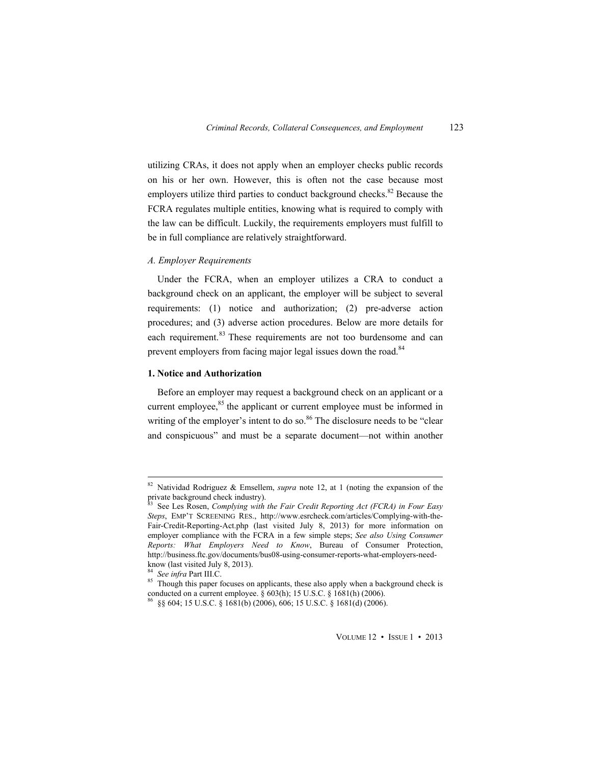utilizing CRAs, it does not apply when an employer checks public records on his or her own. However, this is often not the case because most employers utilize third parties to conduct background checks.<sup>82</sup> Because the FCRA regulates multiple entities, knowing what is required to comply with the law can be difficult. Luckily, the requirements employers must fulfill to be in full compliance are relatively straightforward.

#### *A. Employer Requirements*

Under the FCRA, when an employer utilizes a CRA to conduct a background check on an applicant, the employer will be subject to several requirements: (1) notice and authorization; (2) pre-adverse action procedures; and (3) adverse action procedures. Below are more details for each requirement.<sup>83</sup> These requirements are not too burdensome and can prevent employers from facing major legal issues down the road.<sup>84</sup>

#### **1. Notice and Authorization**

Before an employer may request a background check on an applicant or a current employee, $85$  the applicant or current employee must be informed in writing of the employer's intent to do so.<sup>86</sup> The disclosure needs to be "clear" and conspicuous" and must be a separate document—not within another

<sup>&</sup>lt;sup>82</sup> Natividad Rodriguez & Emsellem, *supra* note 12, at 1 (noting the expansion of the private background check industry).

<sup>83</sup> See Les Rosen, *Complying with the Fair Credit Reporting Act (FCRA) in Four Easy Steps*, EMP'T SCREENING RES., http://www.esrcheck.com/articles/Complying-with-the-Fair-Credit-Reporting-Act.php (last visited July 8, 2013) for more information on employer compliance with the FCRA in a few simple steps; *See also Using Consumer Reports: What Employers Need to Know*, Bureau of Consumer Protection, http://business.ftc.gov/documents/bus08-using-consumer-reports-what-employers-needknow (last visited July 8, 2013).<br><sup>84</sup> See infra Part III.C.

<sup>&</sup>lt;sup>85</sup> Though this paper focuses on applicants, these also apply when a background check is conducted on a current employee. § 603(h); 15 U.S.C. § 1681(h) (2006). <sup>86</sup> §§ 604; 15 U.S.C. § 1681(b) (2006).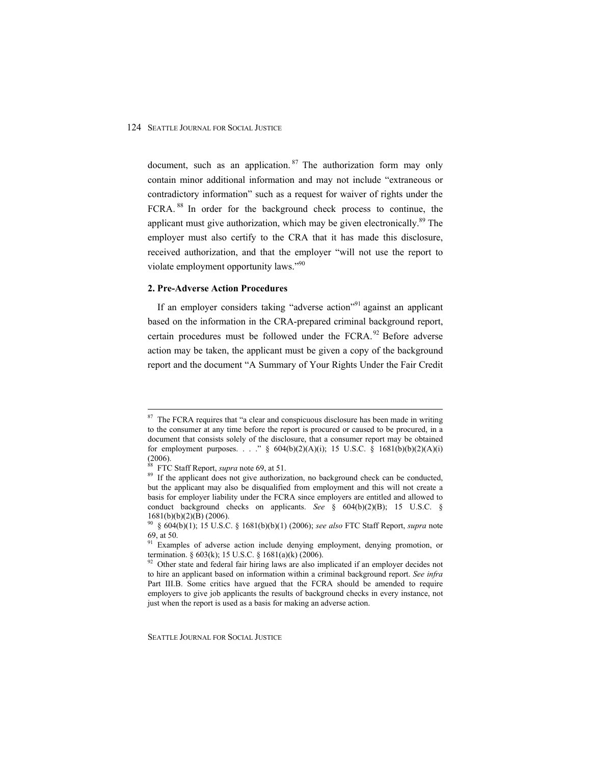document, such as an application.  $87$  The authorization form may only contain minor additional information and may not include "extraneous or contradictory information" such as a request for waiver of rights under the FCRA. 88 In order for the background check process to continue, the applicant must give authorization, which may be given electronically.<sup>89</sup> The employer must also certify to the CRA that it has made this disclosure, received authorization, and that the employer "will not use the report to violate employment opportunity laws."90

## **2. Pre-Adverse Action Procedures**

If an employer considers taking "adverse action"<sup>91</sup> against an applicant based on the information in the CRA-prepared criminal background report, certain procedures must be followed under the  $FCRA$ ,  $92$  Before adverse action may be taken, the applicant must be given a copy of the background report and the document "A Summary of Your Rights Under the Fair Credit

 $87$  The FCRA requires that "a clear and conspicuous disclosure has been made in writing to the consumer at any time before the report is procured or caused to be procured, in a document that consists solely of the disclosure, that a consumer report may be obtained for employment purposes. . . ."  $\S$  604(b)(2)(A)(i); 15 U.S.C.  $\S$  1681(b)(b)(2)(A)(i) (2006).<br><sup>88</sup> FTC Staff Report, *supra* note 69, at 51.

<sup>&</sup>lt;sup>89</sup> If the applicant does not give authorization, no background check can be conducted, but the applicant may also be disqualified from employment and this will not create a basis for employer liability under the FCRA since employers are entitled and allowed to conduct background checks on applicants. *See* § 604(b)(2)(B); 15 U.S.C. § 1681(b)(b)(2)(B) (2006).

<sup>90 § 604(</sup>b)(1); 15 U.S.C. § 1681(b)(b)(1) (2006); *see also* FTC Staff Report, *supra* note 69, at 50.

 $91$  Examples of adverse action include denying employment, denying promotion, or termination. § 603(k); 15 U.S.C. § 1681(a)(k) (2006).

 $92$  Other state and federal fair hiring laws are also implicated if an employer decides not to hire an applicant based on information within a criminal background report. *See infra* Part III.B. Some critics have argued that the FCRA should be amended to require employers to give job applicants the results of background checks in every instance, not just when the report is used as a basis for making an adverse action.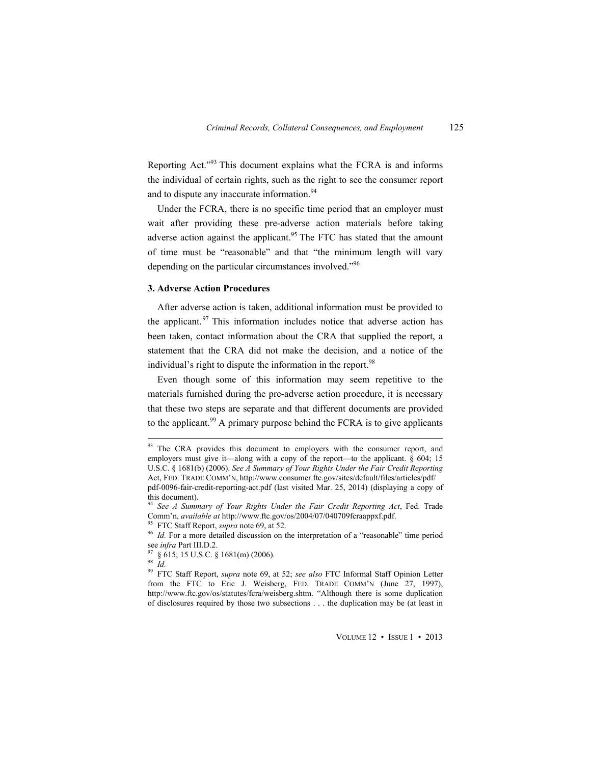Reporting Act."93 This document explains what the FCRA is and informs the individual of certain rights, such as the right to see the consumer report and to dispute any inaccurate information.<sup>94</sup>

Under the FCRA, there is no specific time period that an employer must wait after providing these pre-adverse action materials before taking adverse action against the applicant.<sup>95</sup> The FTC has stated that the amount of time must be "reasonable" and that "the minimum length will vary depending on the particular circumstances involved."<sup>96</sup>

#### **3. Adverse Action Procedures**

After adverse action is taken, additional information must be provided to the applicant. $97$  This information includes notice that adverse action has been taken, contact information about the CRA that supplied the report, a statement that the CRA did not make the decision, and a notice of the individual's right to dispute the information in the report.<sup>98</sup>

Even though some of this information may seem repetitive to the materials furnished during the pre-adverse action procedure, it is necessary that these two steps are separate and that different documents are provided to the applicant.<sup>99</sup> A primary purpose behind the FCRA is to give applicants

<sup>98</sup> *Id.*

 $\overline{a}$ 

99 FTC Staff Report, *supra* note 69, at 52; *see also* FTC Informal Staff Opinion Letter from the FTC to Eric J. Weisberg, FED. TRADE COMM'N (June 27, 1997), http://www.ftc.gov/os/statutes/fcra/weisberg.shtm. "Although there is some duplication of disclosures required by those two subsections . . . the duplication may be (at least in

VOLUME 12 • ISSUE 1 • 2013

 $93$  The CRA provides this document to employers with the consumer report, and employers must give it—along with a copy of the report—to the applicant.  $\delta$  604; 15 U.S.C. § 1681(b) (2006). *See A Summary of Your Rights Under the Fair Credit Reporting*  Act, FED. TRADE COMM'N, http://www.consumer.ftc.gov/sites/default/files/articles/pdf/ pdf-0096-fair-credit-reporting-act.pdf (last visited Mar. 25, 2014) (displaying a copy of this document).

<sup>&</sup>lt;sup>94</sup> See *A Summary of Your Rights Under the Fair Credit Reporting Act*, Fed. Trade Comm'n, *available at http://www.ftc.gov/os/2004/07/040709fcraappxf.pdf.* 

<sup>&</sup>lt;sup>95</sup> FTC Staff Report, *supra* note 69, at 52.<br><sup>96</sup> *Id.* For a more detailed discussion on the interpretation of a "reasonable" time period see *infra* Part III.D.2.<br><sup>97</sup> 8.615, 15 V.O.C. 0.056666666666666666666666666666

<sup>§ 615; 15</sup> U.S.C. § 1681(m) (2006).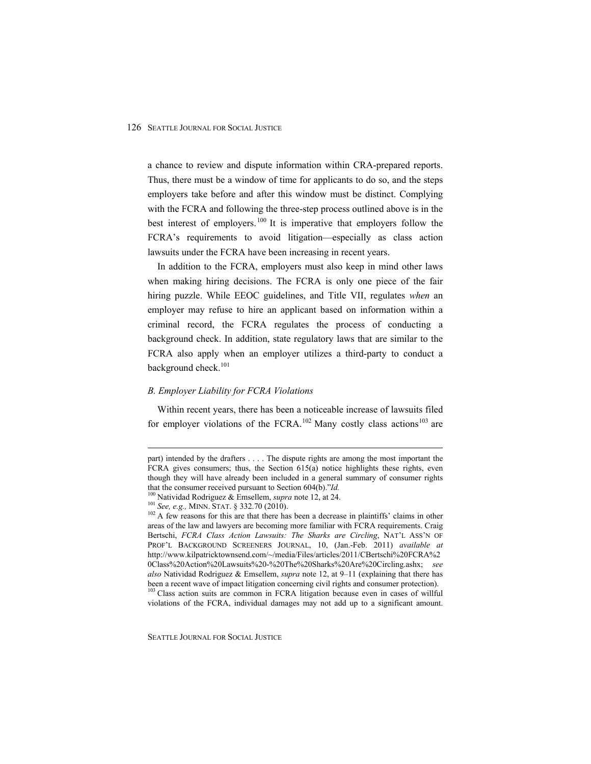a chance to review and dispute information within CRA-prepared reports. Thus, there must be a window of time for applicants to do so, and the steps employers take before and after this window must be distinct. Complying with the FCRA and following the three-step process outlined above is in the best interest of employers.<sup>100</sup> It is imperative that employers follow the FCRA's requirements to avoid litigation—especially as class action lawsuits under the FCRA have been increasing in recent years.

In addition to the FCRA, employers must also keep in mind other laws when making hiring decisions. The FCRA is only one piece of the fair hiring puzzle. While EEOC guidelines, and Title VII, regulates *when* an employer may refuse to hire an applicant based on information within a criminal record, the FCRA regulates the process of conducting a background check. In addition, state regulatory laws that are similar to the FCRA also apply when an employer utilizes a third-party to conduct a background check.<sup>101</sup>

#### *B. Employer Liability for FCRA Violations*

Within recent years, there has been a noticeable increase of lawsuits filed for employer violations of the FCRA.<sup>102</sup> Many costly class actions<sup>103</sup> are

part) intended by the drafters . . . . The dispute rights are among the most important the FCRA gives consumers; thus, the Section  $615(a)$  notice highlights these rights, even though they will have already been included in a general summary of consumer rights that the consumer received pursuant to Section  $604(b)$ ."Id.

<sup>&</sup>lt;sup>100</sup> Natividad Rodriguez & Emsellem, *supra* note 12, at 24.<br><sup>101</sup> See, e.g., MINN. STAT. § 332.70 (2010).<br><sup>102</sup> A few reasons for this are that there has been a decrease in plaintiffs' claims in other areas of the law and lawyers are becoming more familiar with FCRA requirements. Craig Bertschi, *FCRA Class Action Lawsuits: The Sharks are Circling*, NAT'L ASS'N OF PROF'L BACKGROUND SCREENERS JOURNAL, 10, (Jan.-Feb. 2011) *available at*  http://www.kilpatricktownsend.com/~/media/Files/articles/2011/CBertschi%20FCRA%2 0Class%20Action%20Lawsuits%20-%20The%20Sharks%20Are%20Circling.ashx; *see also* Natividad Rodriguez & Emsellem, *supra* note 12, at 9–11 (explaining that there has been a recent wave of impact litigation concerning civil rights and consumer protection). 103 Class action suits are common in FCRA litigation because even in cases of willful

violations of the FCRA, individual damages may not add up to a significant amount.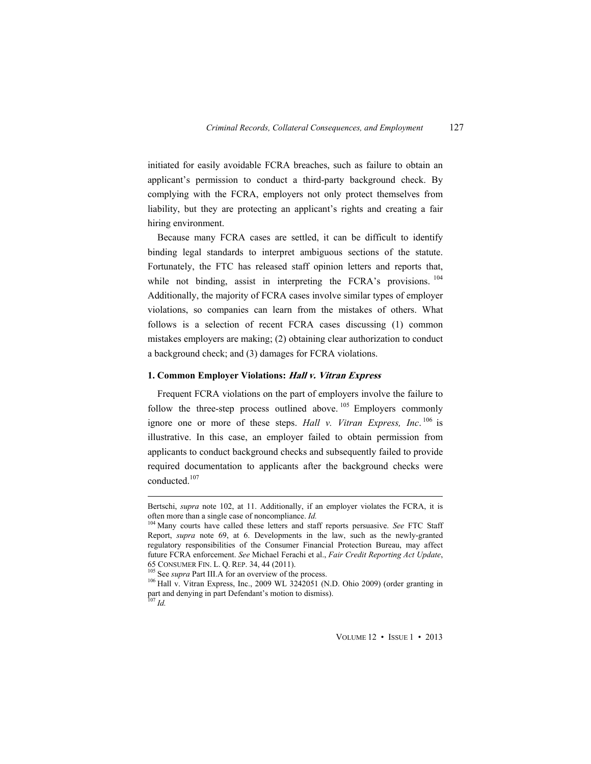initiated for easily avoidable FCRA breaches, such as failure to obtain an applicant's permission to conduct a third-party background check. By complying with the FCRA, employers not only protect themselves from liability, but they are protecting an applicant's rights and creating a fair hiring environment.

Because many FCRA cases are settled, it can be difficult to identify binding legal standards to interpret ambiguous sections of the statute. Fortunately, the FTC has released staff opinion letters and reports that, while not binding, assist in interpreting the FCRA's provisions. <sup>104</sup> Additionally, the majority of FCRA cases involve similar types of employer violations, so companies can learn from the mistakes of others. What follows is a selection of recent FCRA cases discussing (1) common mistakes employers are making; (2) obtaining clear authorization to conduct a background check; and (3) damages for FCRA violations.

#### **1. Common Employer Violations: Hall v. Vitran Express**

Frequent FCRA violations on the part of employers involve the failure to follow the three-step process outlined above.  $105$  Employers commonly ignore one or more of these steps. *Hall v. Vitran Express, Inc*. 106 is illustrative. In this case, an employer failed to obtain permission from applicants to conduct background checks and subsequently failed to provide required documentation to applicants after the background checks were conducted.<sup>107</sup>

Bertschi, *supra* note 102, at 11. Additionally, if an employer violates the FCRA, it is often more than a single case of noncompliance. *Id*.

<sup>&</sup>lt;sup>104</sup> Many courts have called these letters and staff reports persuasive. *See* FTC Staff Report, *supra* note 69, at 6. Developments in the law, such as the newly-granted regulatory responsibilities of the Consumer Financial Protection Bureau, may affect future FCRA enforcement. *See* Michael Ferachi et al., *Fair Credit Reporting Act Update*, 65 CONSUMER FIN. L. Q. REP. 34, 44 (2011). 105 See *supra* Part III.A for an overview of the process. 106 Hall v. Vitran Express, Inc., 2009 WL 3242051 (N.D. Ohio 2009) (order granting in

part and denying in part Defendant's motion to dismiss).

<sup>107</sup> *Id.*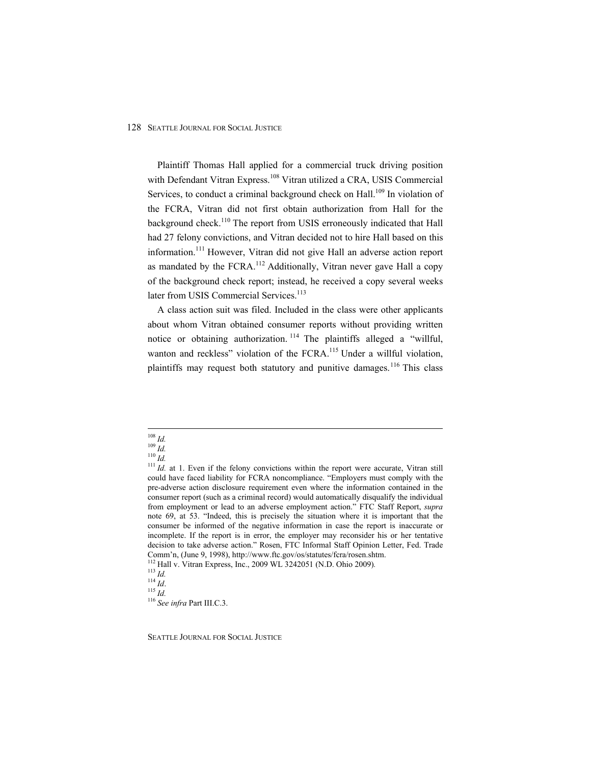Plaintiff Thomas Hall applied for a commercial truck driving position with Defendant Vitran Express.<sup>108</sup> Vitran utilized a CRA, USIS Commercial Services, to conduct a criminal background check on Hall.<sup>109</sup> In violation of the FCRA, Vitran did not first obtain authorization from Hall for the background check.<sup>110</sup> The report from USIS erroneously indicated that Hall had 27 felony convictions, and Vitran decided not to hire Hall based on this information.<sup>111</sup> However, Vitran did not give Hall an adverse action report as mandated by the  $FCRA$ <sup>112</sup> Additionally, Vitran never gave Hall a copy of the background check report; instead, he received a copy several weeks later from USIS Commercial Services.<sup>113</sup>

A class action suit was filed. Included in the class were other applicants about whom Vitran obtained consumer reports without providing written notice or obtaining authorization.<sup>114</sup> The plaintiffs alleged a "willful, wanton and reckless" violation of the FCRA.<sup>115</sup> Under a willful violation, plaintiffs may request both statutory and punitive damages.<sup>116</sup> This class

 $108$  Id.

<sup>&</sup>lt;sup>109</sup> *Id.*<br><sup>110</sup> *Id. 11 Id.* at 1. Even if the felony convictions within the report were accurate, Vitran still could have faced liability for FCRA noncompliance. "Employers must comply with the pre-adverse action disclosure requirement even where the information contained in the consumer report (such as a criminal record) would automatically disqualify the individual from employment or lead to an adverse employment action." FTC Staff Report, *supra* note 69, at 53. "Indeed, this is precisely the situation where it is important that the consumer be informed of the negative information in case the report is inaccurate or incomplete. If the report is in error, the employer may reconsider his or her tentative decision to take adverse action." Rosen, FTC Informal Staff Opinion Letter, Fed. Trade Comm'n, (June 9, 1998), http://www.ftc.gov/os/statutes/fcra/rosen.shtm.<br><sup>112</sup> Hall v. Vitran Express, Inc., 2009 WL 3242051 (N.D. Ohio 2009).<br><sup>113</sup> Id.<br><sup>114</sup> Id.<br><sup>116</sup> See infra Part III.C.3.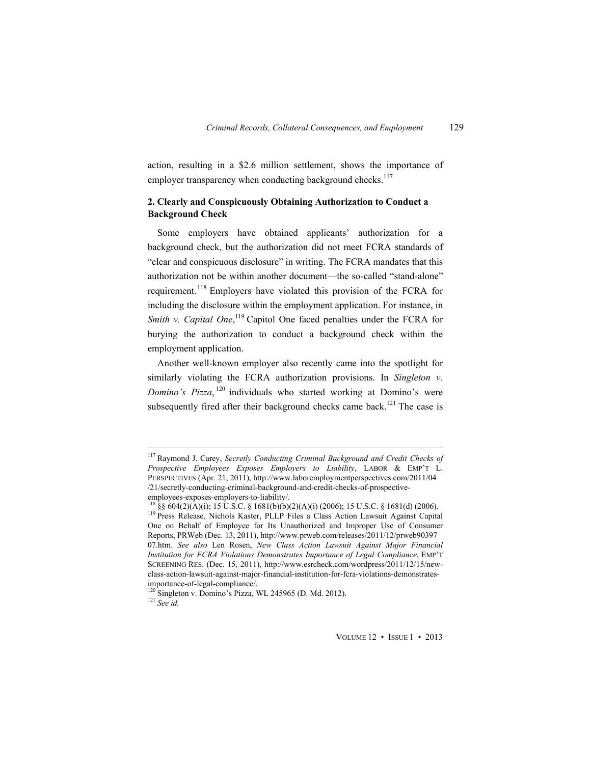action, resulting in a \$2.6 million settlement, shows the importance of employer transparency when conducting background checks.<sup>117</sup>

## **2. Clearly and Conspicuously Obtaining Authorization to Conduct a Background Check**

Some employers have obtained applicants' authorization for a background check, but the authorization did not meet FCRA standards of "clear and conspicuous disclosure" in writing. The FCRA mandates that this authorization not be within another document—the so-called "stand-alone" requirement.118 Employers have violated this provision of the FCRA for including the disclosure within the employment application. For instance, in *Smith v. Capital One*,<sup>119</sup> Capitol One faced penalties under the FCRA for burying the authorization to conduct a background check within the employment application.

Another well-known employer also recently came into the spotlight for similarly violating the FCRA authorization provisions. In *Singleton v. Domino's Pizza*, 120 individuals who started working at Domino's were subsequently fired after their background checks came back.<sup>121</sup> The case is

 $\overline{a}$ 

VOLUME 12 • ISSUE 1 • 2013

<sup>117</sup> Raymond J. Carey, *Secretly Conducting Criminal Background and Credit Checks of Prospective Employees Exposes Employers to Liability*, LABOR & EMP'T L. PERSPECTIVES (Apr. 21, 2011), http://www.laboremploymentperspectives.com/2011/04 /21/secretly-conducting-criminal-background-and-credit-checks-of-prospectiveemployees-exposes-employers-to-liability/.<br><sup>118</sup> §§ 604(2)(A)(i); 15 U.S.C. § 1681(b)(b)(2)(A)(i) (2006); 15 U.S.C. § 1681(d) (2006).

<sup>&</sup>lt;sup>119</sup> Press Release, Nichols Kaster, PLLP Files a Class Action Lawsuit Against Capital One on Behalf of Employee for Its Unauthorized and Improper Use of Consumer Reports, PRWeb (Dec. 13, 2011), http://www.prweb.com/releases/2011/12/prweb90397 07.htm. *See also* Len Rosen, *New Class Action Lawsuit Against Major Financial Institution for FCRA Violations Demonstrates Importance of Legal Compliance*, EMP'T SCREENING RES. (Dec. 15, 2011), http://www.esrcheck.com/wordpress/2011/12/15/newclass-action-lawsuit-against-major-financial-institution-for-fcra-violations-demonstratesimportance-of-legal-compliance/.

<sup>&</sup>lt;sup>120</sup> Singleton v. Domino's Pizza, WL 245965 (D. Md. 2012). <sup>121</sup> See id.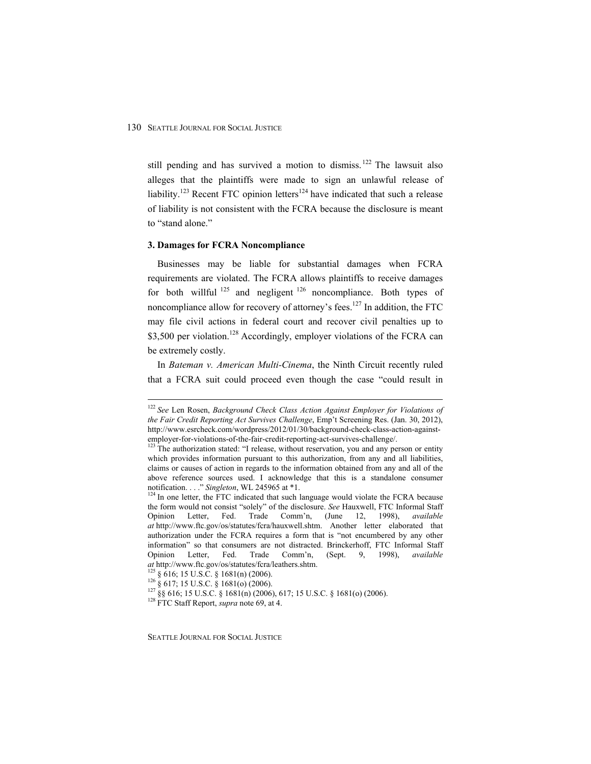still pending and has survived a motion to dismiss.<sup>122</sup> The lawsuit also alleges that the plaintiffs were made to sign an unlawful release of liability.<sup>123</sup> Recent FTC opinion letters<sup>124</sup> have indicated that such a release of liability is not consistent with the FCRA because the disclosure is meant to "stand alone."

#### **3. Damages for FCRA Noncompliance**

Businesses may be liable for substantial damages when FCRA requirements are violated. The FCRA allows plaintiffs to receive damages for both willful  $125$  and negligent  $126$  noncompliance. Both types of noncompliance allow for recovery of attorney's fees.<sup>127</sup> In addition, the FTC may file civil actions in federal court and recover civil penalties up to \$3,500 per violation.<sup>128</sup> Accordingly, employer violations of the FCRA can be extremely costly.

In *Bateman v. American Multi-Cinema*, the Ninth Circuit recently ruled that a FCRA suit could proceed even though the case "could result in

 $\overline{a}$ 

<sup>122</sup> *See* Len Rosen, *Background Check Class Action Against Employer for Violations of the Fair Credit Reporting Act Survives Challenge*, Emp't Screening Res. (Jan. 30, 2012), http://www.esrcheck.com/wordpress/2012/01/30/background-check-class-action-againstemployer-for-violations-of-the-fair-credit-reporting-act-survives-challenge/.<br><sup>123</sup> The authorization stated: "I release, without reservation, you and any person or entity

which provides information pursuant to this authorization, from any and all liabilities, claims or causes of action in regards to the information obtained from any and all of the above reference sources used. I acknowledge that this is a standalone consumer notification. . . ." *Singleton*, WL 245965 at \*1.<br><sup>124</sup> In one letter, the FTC indicated that such language would violate the FCRA because

the form would not consist "solely" of the disclosure. *See* Hauxwell, FTC Informal Staff Opinion Letter, Fed. Trade Comm'n, (June 12, 1998), *available at* http://www.ftc.gov/os/statutes/fcra/hauxwell.shtm. Another letter elaborated that authorization under the FCRA requires a form that is "not encumbered by any other information" so that consumers are not distracted. Brinckerhoff, FTC Informal Staff Opinion Letter, Fed. Trade Comm'n, (Sept. 9, 1998), *available*  at http://www.ftc.gov/os/statutes/fcra/leathers.shtm.<br><sup>125</sup> § 616; 15 U.S.C. § 1681(n) (2006).<br><sup>126</sup> § 617; 15 U.S.C. § 1681(o) (2006).<br><sup>127</sup> §§ 616; 15 U.S.C. § 1681(n) (2006), 617; 15 U.S.C. § 1681(o) (2006).<br><sup>128</sup> FTC S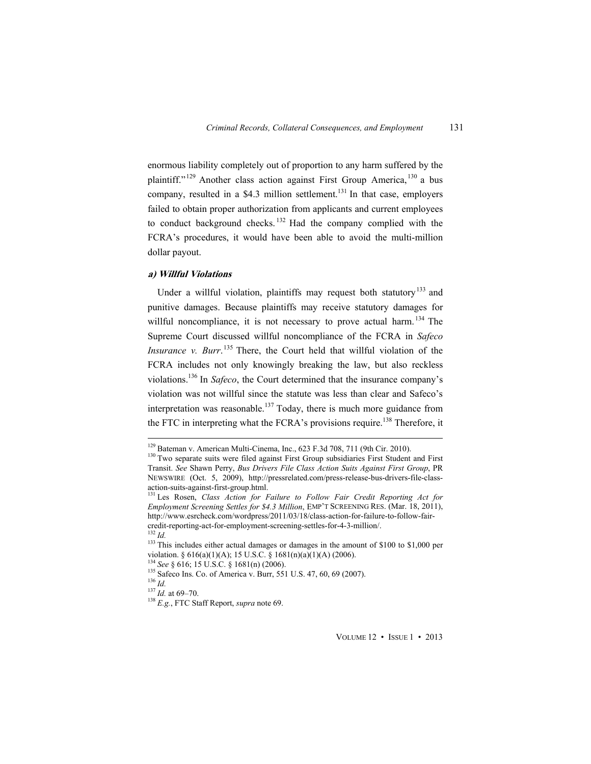enormous liability completely out of proportion to any harm suffered by the plaintiff."<sup>129</sup> Another class action against First Group America, <sup>130</sup> a bus company, resulted in a \$4.3 million settlement.<sup>131</sup> In that case, employers failed to obtain proper authorization from applicants and current employees to conduct background checks.<sup>132</sup> Had the company complied with the FCRA's procedures, it would have been able to avoid the multi-million dollar payout.

#### **a) Willful Violations**

Under a willful violation, plaintiffs may request both statutory<sup>133</sup> and punitive damages. Because plaintiffs may receive statutory damages for willful noncompliance, it is not necessary to prove actual harm.<sup>134</sup> The Supreme Court discussed willful noncompliance of the FCRA in *Safeco Insurance v. Burr*. 135 There, the Court held that willful violation of the FCRA includes not only knowingly breaking the law, but also reckless violations.136 In *Safeco*, the Court determined that the insurance company's violation was not willful since the statute was less than clear and Safeco's interpretation was reasonable.<sup>137</sup> Today, there is much more guidance from the FTC in interpreting what the FCRA's provisions require.<sup>138</sup> Therefore, it

 $129$  Bateman v. American Multi-Cinema, Inc., 623 F.3d 708, 711 (9th Cir. 2010).

<sup>&</sup>lt;sup>130</sup> Two separate suits were filed against First Group subsidiaries First Student and First Transit. *See* Shawn Perry, *Bus Drivers File Class Action Suits Against First Group*, PR NEWSWIRE (Oct. 5, 2009), http://pressrelated.com/press-release-bus-drivers-file-classaction-suits-against-first-group.html.

<sup>&</sup>lt;sup>131</sup> Les Rosen, *Class Action for Failure to Follow Fair Credit Reporting Act for Employment Screening Settles for \$4.3 Million*, EMP'T SCREENING RES. (Mar. 18, 2011), http://www.esrcheck.com/wordpress/2011/03/18/class-action-for-failure-to-follow-faircredit-reporting-act-for-employment-screening-settles-for-4-3-million/.<br><sup>132</sup> Id.

<sup>&</sup>lt;sup>133</sup> This includes either actual damages or damages in the amount of \$100 to \$1,000 per violation. § 616(a)(1)(A); 15 U.S.C. § 1681(n)(a)(1)(A) (2006).<br><sup>134</sup> *See* § 616; 15 U.S.C. § 1681(n) (2006).<br><sup>135</sup> Safeco Ins. Co. of America v. Burr, 551 U.S. 47, 60, 69 (2007).<br><sup>136</sup> *Id.*<br><sup>137</sup> *Id.* at 69–70.<br><sup>138</sup>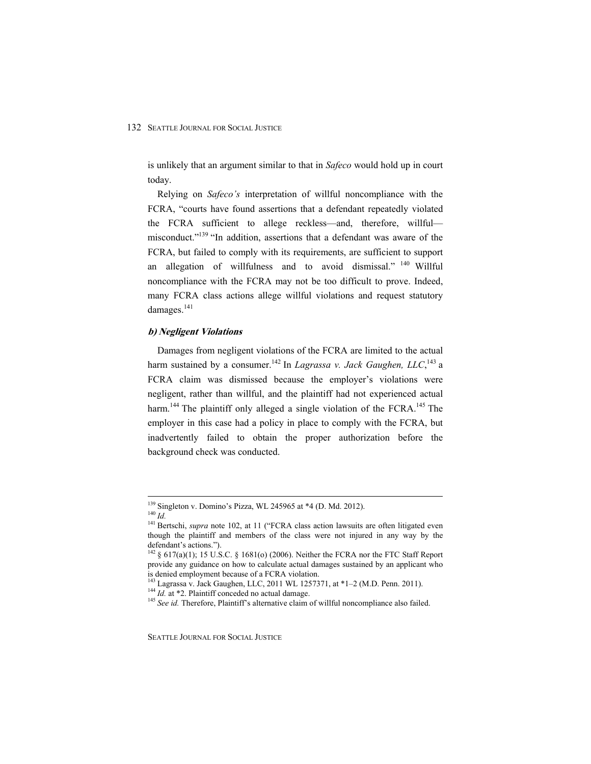is unlikely that an argument similar to that in *Safeco* would hold up in court today.

Relying on *Safeco's* interpretation of willful noncompliance with the FCRA, "courts have found assertions that a defendant repeatedly violated the FCRA sufficient to allege reckless—and, therefore, willful misconduct."<sup>139</sup> "In addition, assertions that a defendant was aware of the FCRA, but failed to comply with its requirements, are sufficient to support an allegation of willfulness and to avoid dismissal." <sup>140</sup> Willful noncompliance with the FCRA may not be too difficult to prove. Indeed, many FCRA class actions allege willful violations and request statutory damages.<sup>141</sup>

#### **b) Negligent Violations**

Damages from negligent violations of the FCRA are limited to the actual harm sustained by a consumer.<sup>142</sup> In *Lagrassa v. Jack Gaughen, LLC*,<sup>143</sup> a FCRA claim was dismissed because the employer's violations were negligent, rather than willful, and the plaintiff had not experienced actual harm.<sup>144</sup> The plaintiff only alleged a single violation of the FCRA.<sup>145</sup> The employer in this case had a policy in place to comply with the FCRA, but inadvertently failed to obtain the proper authorization before the background check was conducted.

<sup>&</sup>lt;sup>139</sup> Singleton v. Domino's Pizza, WL 245965 at \*4 (D. Md. 2012).

<sup>140</sup> Id.<br><sup>140</sup> Id. <sup>141</sup> Bertschi, *supra* note 102, at 11 ("FCRA class action lawsuits are often litigated even though the plaintiff and members of the class were not injured in any way by the defendant's actions.").

 $142 \S 617(a)(1)$ ; 15 U.S.C. § 1681(o) (2006). Neither the FCRA nor the FTC Staff Report provide any guidance on how to calculate actual damages sustained by an applicant who is denied employment because of a FCRA violation.

<sup>&</sup>lt;sup>143</sup> Lagrassa v. Jack Gaughen, LLC, 2011 WL 1257371, at \*1–2 (M.D. Penn. 2011).<br><sup>144</sup> *Id.* at \*2. Plaintiff conceded no actual damage.<br><sup>145</sup> *See id.* Therefore, Plaintiff's alternative claim of willful noncompliance al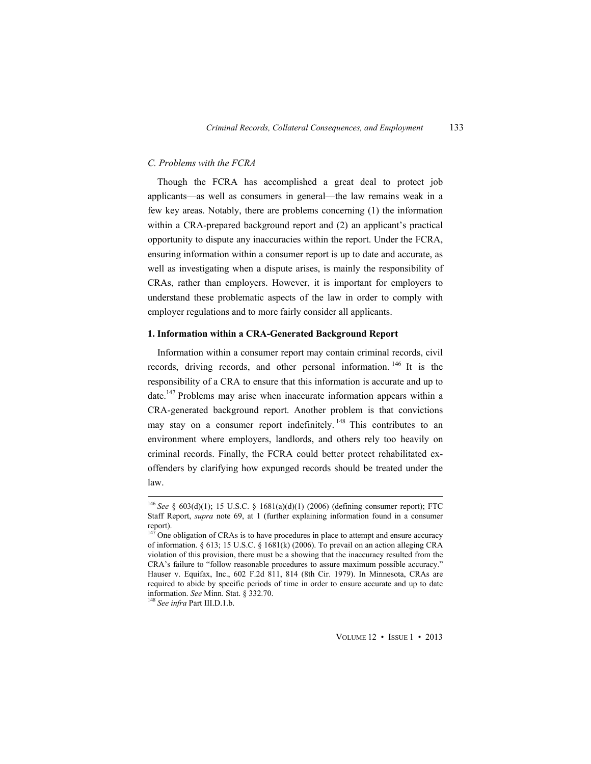#### *C. Problems with the FCRA*

Though the FCRA has accomplished a great deal to protect job applicants—as well as consumers in general—the law remains weak in a few key areas. Notably, there are problems concerning (1) the information within a CRA-prepared background report and (2) an applicant's practical opportunity to dispute any inaccuracies within the report. Under the FCRA, ensuring information within a consumer report is up to date and accurate, as well as investigating when a dispute arises, is mainly the responsibility of CRAs, rather than employers. However, it is important for employers to understand these problematic aspects of the law in order to comply with employer regulations and to more fairly consider all applicants.

## **1. Information within a CRA-Generated Background Report**

Information within a consumer report may contain criminal records, civil records, driving records, and other personal information. 146 It is the responsibility of a CRA to ensure that this information is accurate and up to date.<sup>147</sup> Problems may arise when inaccurate information appears within a CRA-generated background report. Another problem is that convictions may stay on a consumer report indefinitely.<sup>148</sup> This contributes to an environment where employers, landlords, and others rely too heavily on criminal records. Finally, the FCRA could better protect rehabilitated exoffenders by clarifying how expunged records should be treated under the law.

<sup>146</sup> *See* § 603(d)(1); 15 U.S.C. § 1681(a)(d)(1) (2006) (defining consumer report); FTC Staff Report, *supra* note 69, at 1 (further explaining information found in a consumer report).

 $147$  One obligation of CRAs is to have procedures in place to attempt and ensure accuracy of information. § 613; 15 U.S.C. § 1681(k) (2006). To prevail on an action alleging CRA violation of this provision, there must be a showing that the inaccuracy resulted from the CRA's failure to "follow reasonable procedures to assure maximum possible accuracy." Hauser v. Equifax, Inc., 602 F.2d 811, 814 (8th Cir. 1979). In Minnesota, CRAs are required to abide by specific periods of time in order to ensure accurate and up to date information. *See* Minn. Stat. § 332.70. 148 *See infra* Part III.D.1.b.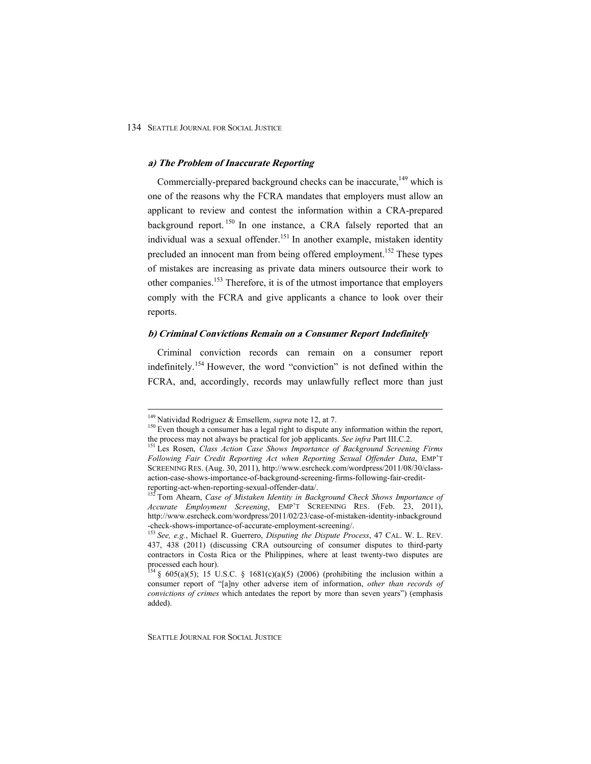#### **a) The Problem of Inaccurate Reporting**

Commercially-prepared background checks can be inaccurate,<sup>149</sup> which is one of the reasons why the FCRA mandates that employers must allow an applicant to review and contest the information within a CRA-prepared background report.<sup>150</sup> In one instance, a CRA falsely reported that an individual was a sexual offender.<sup>151</sup> In another example, mistaken identity precluded an innocent man from being offered employment.<sup>152</sup> These types of mistakes are increasing as private data miners outsource their work to other companies.<sup>153</sup> Therefore, it is of the utmost importance that employers comply with the FCRA and give applicants a chance to look over their reports.

#### **b) Criminal Convictions Remain on a Consumer Report Indefinitely**

Criminal conviction records can remain on a consumer report indefinitely.154 However, the word "conviction" is not defined within the FCRA, and, accordingly, records may unlawfully reflect more than just

<sup>&</sup>lt;sup>149</sup> Natividad Rodriguez & Emsellem, *supra* note 12, at 7.

<sup>&</sup>lt;sup>150</sup> Even though a consumer has a legal right to dispute any information within the report, the process may not always be practical for job applicants. *See infra* Part III.C.2. <sup>151</sup> Les Rosen, *Class Action Case Shows Importance of Background Screening Firms* 

*Following Fair Credit Reporting Act when Reporting Sexual Offender Data*, EMP'T SCREENING RES. (Aug. 30, 2011), http://www.esrcheck.com/wordpress/2011/08/30/classaction-case-shows-importance-of-background-screening-firms-following-fair-creditreporting-act-when-reporting-sexual-offender-data/.

<sup>&</sup>lt;sup>152</sup> Tom Ahearn, *Case of Mistaken Identity in Background Check Shows Importance of Accurate Employment Screening*, EMP'T SCREENING RES. (Feb. 23, 2011), http://www.esrcheck.com/wordpress/2011/02/23/case-of-mistaken-identity-inbackground -check-shows-importance-of-accurate-employment-screening/.

<sup>153</sup> *See, e.g.*, Michael R. Guerrero, *Disputing the Dispute Process*, 47 CAL. W. L. REV. 437, 438 (2011) (discussing CRA outsourcing of consumer disputes to third-party contractors in Costa Rica or the Philippines, where at least twenty-two disputes are processed each hour).

<sup>&</sup>lt;sup>154</sup> § 605(a)(5); 15 U.S.C. § 1681(c)(a)(5) (2006) (prohibiting the inclusion within a consumer report of "[a]ny other adverse item of information, *other than records of convictions of crimes* which antedates the report by more than seven years") (emphasis added).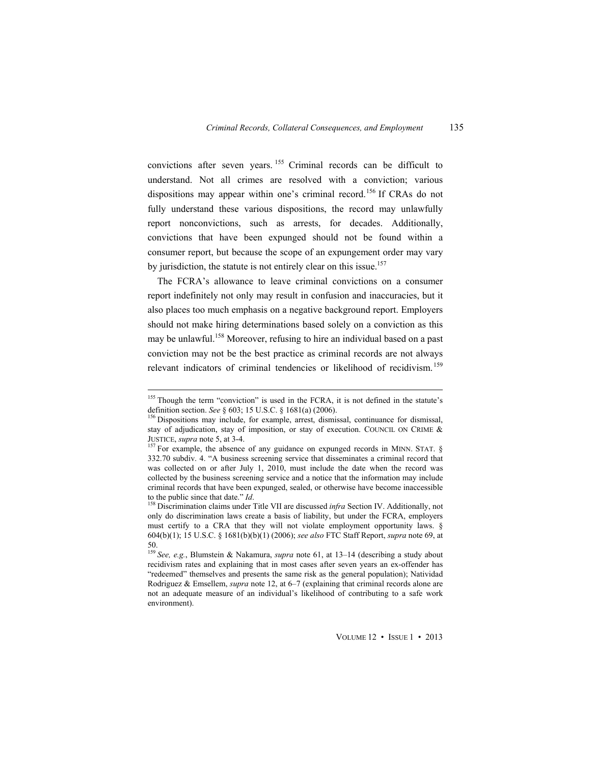convictions after seven years. 155 Criminal records can be difficult to understand. Not all crimes are resolved with a conviction; various dispositions may appear within one's criminal record.<sup>156</sup> If CRAs do not fully understand these various dispositions, the record may unlawfully report nonconvictions, such as arrests, for decades. Additionally, convictions that have been expunged should not be found within a consumer report, but because the scope of an expungement order may vary by jurisdiction, the statute is not entirely clear on this issue.<sup>157</sup>

The FCRA's allowance to leave criminal convictions on a consumer report indefinitely not only may result in confusion and inaccuracies, but it also places too much emphasis on a negative background report. Employers should not make hiring determinations based solely on a conviction as this may be unlawful.<sup>158</sup> Moreover, refusing to hire an individual based on a past conviction may not be the best practice as criminal records are not always relevant indicators of criminal tendencies or likelihood of recidivism.<sup>159</sup>

<sup>&</sup>lt;sup>155</sup> Though the term "conviction" is used in the FCRA, it is not defined in the statute's definition section. *See* § 603; 15 U.S.C. § 1681(a) (2006).<br><sup>156</sup> Dispositions may include, for example, arrest, dismissal, continuance for dismissal,

stay of adjudication, stay of imposition, or stay of execution. COUNCIL ON CRIME & JUSTICE, *supra* note 5, at 3-4.

<sup>&</sup>lt;sup>157</sup> For example, the absence of any guidance on expunged records in MINN. STAT. § 332.70 subdiv. 4. "A business screening service that disseminates a criminal record that was collected on or after July 1, 2010, must include the date when the record was collected by the business screening service and a notice that the information may include criminal records that have been expunged, sealed, or otherwise have become inaccessible to the public since that date."  $Id$ .

<sup>&</sup>lt;sup>158</sup> Discrimination claims under Title VII are discussed *infra* Section IV. Additionally, not only do discrimination laws create a basis of liability, but under the FCRA, employers must certify to a CRA that they will not violate employment opportunity laws. § 604(b)(1); 15 U.S.C. § 1681(b)(b)(1) (2006); *see also* FTC Staff Report, *supra* note 69, at 50.

<sup>159</sup> *See, e.g.*, Blumstein & Nakamura, *supra* note 61, at 13–14 (describing a study about recidivism rates and explaining that in most cases after seven years an ex-offender has "redeemed" themselves and presents the same risk as the general population); Natividad Rodriguez & Emsellem, *supra* note 12, at 6–7 (explaining that criminal records alone are not an adequate measure of an individual's likelihood of contributing to a safe work environment).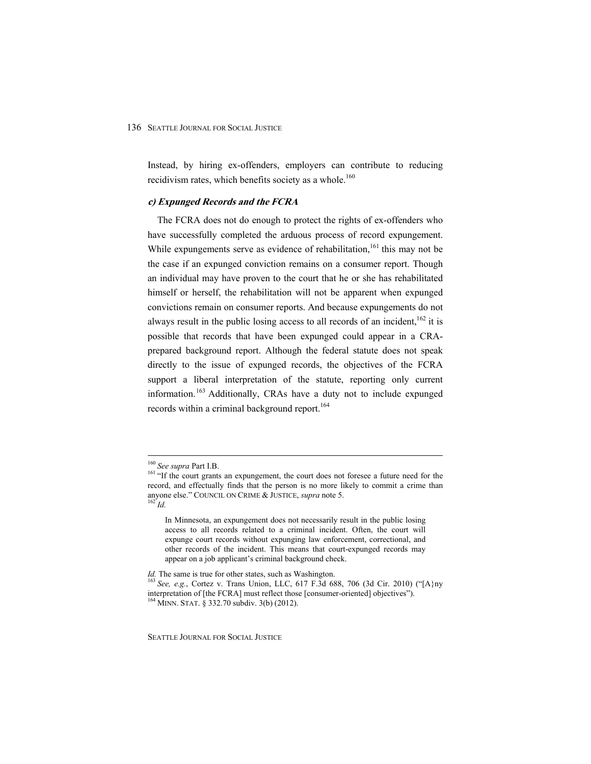Instead, by hiring ex-offenders, employers can contribute to reducing recidivism rates, which benefits society as a whole.<sup>160</sup>

## **c) Expunged Records and the FCRA**

The FCRA does not do enough to protect the rights of ex-offenders who have successfully completed the arduous process of record expungement. While expungements serve as evidence of rehabilitation,<sup>161</sup> this may not be the case if an expunged conviction remains on a consumer report. Though an individual may have proven to the court that he or she has rehabilitated himself or herself, the rehabilitation will not be apparent when expunged convictions remain on consumer reports. And because expungements do not always result in the public losing access to all records of an incident,  $162$  it is possible that records that have been expunged could appear in a CRAprepared background report. Although the federal statute does not speak directly to the issue of expunged records, the objectives of the FCRA support a liberal interpretation of the statute, reporting only current information.163 Additionally, CRAs have a duty not to include expunged records within a criminal background report.<sup>164</sup>

<sup>&</sup>lt;sup>160</sup> See supra Part I.B.

<sup>&</sup>lt;sup>161</sup> "If the court grants an expungement, the court does not foresee a future need for the record, and effectually finds that the person is no more likely to commit a crime than anyone else." COUNCIL ON CRIME & JUSTICE, *supra* note 5.<br><sup>162</sup> *Id.* 

In Minnesota, an expungement does not necessarily result in the public losing access to all records related to a criminal incident. Often, the court will expunge court records without expunging law enforcement, correctional, and other records of the incident. This means that court-expunged records may appear on a job applicant's criminal background check.

*Id.* The same is true for other states, such as Washington.<br><sup>163</sup> See, e.g., Cortez v. Trans Union, LLC, 617 F.3d 688, 706 (3d Cir. 2010) ("[A}ny interpretation of [the FCRA] must reflect those [consumer-oriented] objectives"). 164 MINN. STAT. § 332.70 subdiv. 3(b) (2012).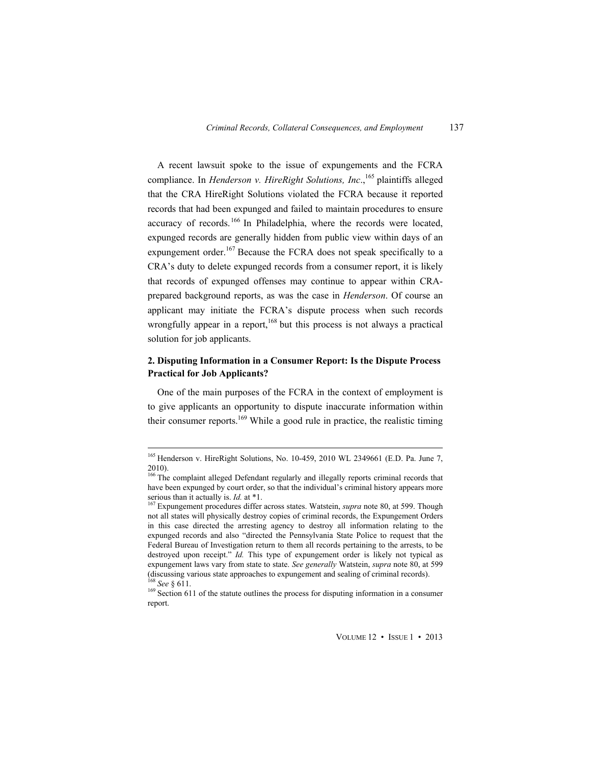A recent lawsuit spoke to the issue of expungements and the FCRA compliance. In *Henderson v. HireRight Solutions, Inc.*,<sup>165</sup> plaintiffs alleged that the CRA HireRight Solutions violated the FCRA because it reported records that had been expunged and failed to maintain procedures to ensure accuracy of records.<sup>166</sup> In Philadelphia, where the records were located, expunged records are generally hidden from public view within days of an expungement order.<sup>167</sup> Because the FCRA does not speak specifically to a CRA's duty to delete expunged records from a consumer report, it is likely that records of expunged offenses may continue to appear within CRAprepared background reports, as was the case in *Henderson*. Of course an applicant may initiate the FCRA's dispute process when such records wrongfully appear in a report,  $168$  but this process is not always a practical solution for job applicants.

## **2. Disputing Information in a Consumer Report: Is the Dispute Process Practical for Job Applicants?**

One of the main purposes of the FCRA in the context of employment is to give applicants an opportunity to dispute inaccurate information within their consumer reports.<sup>169</sup> While a good rule in practice, the realistic timing

<sup>165</sup> Henderson v. HireRight Solutions, No. 10-459, 2010 WL 2349661 (E.D. Pa. June 7, 2010).

<sup>&</sup>lt;sup>166</sup> The complaint alleged Defendant regularly and illegally reports criminal records that have been expunged by court order, so that the individual's criminal history appears more serious than it actually is. *Id.* at \*1.<br><sup>167</sup> Expungement procedures differ across states. Watstein, *supra* note 80, at 599. Though

not all states will physically destroy copies of criminal records, the Expungement Orders in this case directed the arresting agency to destroy all information relating to the expunged records and also "directed the Pennsylvania State Police to request that the Federal Bureau of Investigation return to them all records pertaining to the arrests, to be destroyed upon receipt." *Id.* This type of expungement order is likely not typical as expungement laws vary from state to state. *See generally* Watstein, *supra* note 80, at 599 (discussing various state approaches to expungement and sealing of criminal records). <sup>168</sup> See  $\delta$  611.

<sup>&</sup>lt;sup>169</sup> Section 611 of the statute outlines the process for disputing information in a consumer report.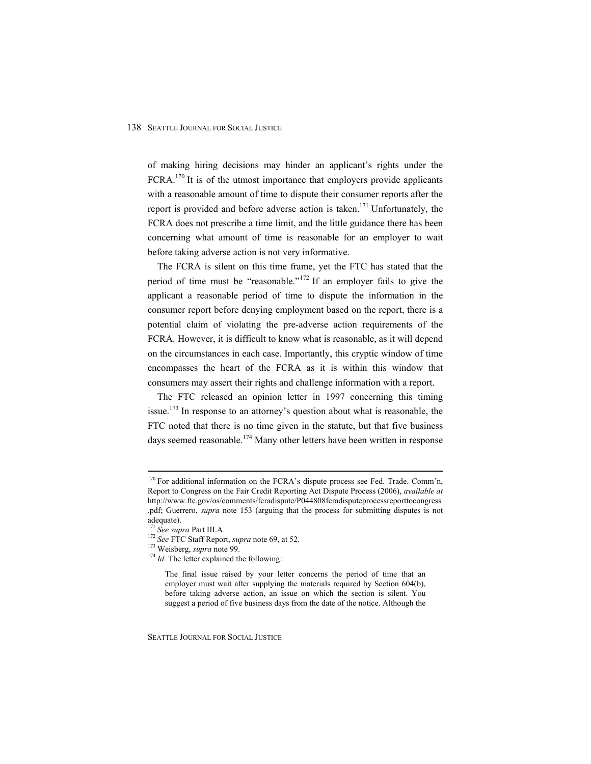of making hiring decisions may hinder an applicant's rights under the FCRA.<sup>170</sup> It is of the utmost importance that employers provide applicants with a reasonable amount of time to dispute their consumer reports after the report is provided and before adverse action is taken.<sup>171</sup> Unfortunately, the FCRA does not prescribe a time limit, and the little guidance there has been concerning what amount of time is reasonable for an employer to wait before taking adverse action is not very informative.

The FCRA is silent on this time frame, yet the FTC has stated that the period of time must be "reasonable."172 If an employer fails to give the applicant a reasonable period of time to dispute the information in the consumer report before denying employment based on the report, there is a potential claim of violating the pre-adverse action requirements of the FCRA. However, it is difficult to know what is reasonable, as it will depend on the circumstances in each case. Importantly, this cryptic window of time encompasses the heart of the FCRA as it is within this window that consumers may assert their rights and challenge information with a report.

The FTC released an opinion letter in 1997 concerning this timing issue.<sup>173</sup> In response to an attorney's question about what is reasonable, the FTC noted that there is no time given in the statute, but that five business days seemed reasonable.<sup>174</sup> Many other letters have been written in response

 $\overline{a}$ 

<sup>&</sup>lt;sup>170</sup> For additional information on the FCRA's dispute process see Fed. Trade. Comm'n, Report to Congress on the Fair Credit Reporting Act Dispute Process (2006), *available at* http://www.ftc.gov/os/comments/fcradispute/P044808fcradisputeprocessreporttocongress .pdf; Guerrero, *supra* note 153 (arguing that the process for submitting disputes is not adequate).<br><sup>171</sup> See supra Part III.A.

<sup>&</sup>lt;sup>172</sup> See FTC Staff Report, *supra* note 69, at 52.<br><sup>173</sup> Weisberg, *supra* note 99. <sup>174</sup> *Id.* The letter explained the following:

The final issue raised by your letter concerns the period of time that an employer must wait after supplying the materials required by Section 604(b), before taking adverse action, an issue on which the section is silent. You suggest a period of five business days from the date of the notice. Although the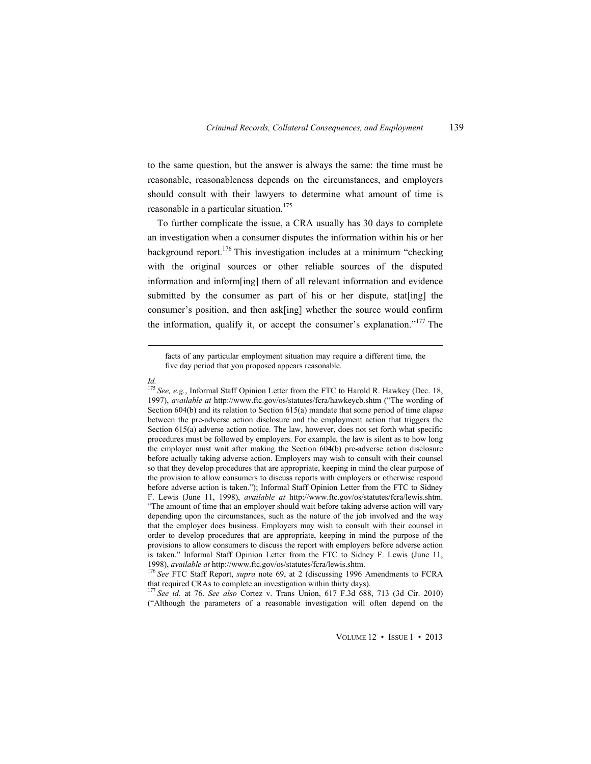to the same question, but the answer is always the same: the time must be reasonable, reasonableness depends on the circumstances, and employers should consult with their lawyers to determine what amount of time is reasonable in a particular situation.<sup>175</sup>

To further complicate the issue, a CRA usually has 30 days to complete an investigation when a consumer disputes the information within his or her background report.<sup>176</sup> This investigation includes at a minimum "checking with the original sources or other reliable sources of the disputed information and inform[ing] them of all relevant information and evidence submitted by the consumer as part of his or her dispute, stat [ing] the consumer's position, and then ask[ing] whether the source would confirm the information, qualify it, or accept the consumer's explanation."<sup>177</sup> The

*Id.* 

facts of any particular employment situation may require a different time, the five day period that you proposed appears reasonable.

<sup>&</sup>lt;sup>175</sup> See, e.g., Informal Staff Opinion Letter from the FTC to Harold R. Hawkey (Dec. 18, 1997), *available at* http://www.ftc.gov/os/statutes/fcra/hawkeycb.shtm ("The wording of Section 604(b) and its relation to Section 615(a) mandate that some period of time elapse between the pre-adverse action disclosure and the employment action that triggers the Section 615(a) adverse action notice. The law, however, does not set forth what specific procedures must be followed by employers. For example, the law is silent as to how long the employer must wait after making the Section 604(b) pre-adverse action disclosure before actually taking adverse action. Employers may wish to consult with their counsel so that they develop procedures that are appropriate, keeping in mind the clear purpose of the provision to allow consumers to discuss reports with employers or otherwise respond before adverse action is taken."); Informal Staff Opinion Letter from the FTC to Sidney F. Lewis (June 11, 1998), *available at* http://www.ftc.gov/os/statutes/fcra/lewis.shtm. "The amount of time that an employer should wait before taking adverse action will vary depending upon the circumstances, such as the nature of the job involved and the way that the employer does business. Employers may wish to consult with their counsel in order to develop procedures that are appropriate, keeping in mind the purpose of the provisions to allow consumers to discuss the report with employers before adverse action is taken." Informal Staff Opinion Letter from the FTC to Sidney F. Lewis (June 11,

<sup>1998),</sup> *available at* http://www.ftc.gov/os/statutes/fcra/lewis.shtm. 176 *See* FTC Staff Report, *supra* note 69, at 2 (discussing 1996 Amendments to FCRA

that required CRAs to complete an investigation within thirty days). 177 *See id.* at 76. *See also* Cortez v. Trans Union, 617 F.3d 688, 713 (3d Cir. 2010) ("Although the parameters of a reasonable investigation will often depend on the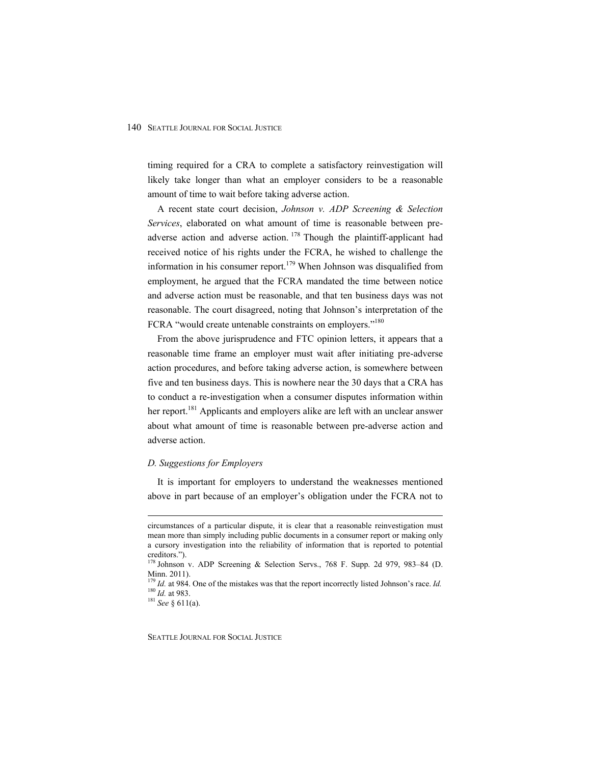timing required for a CRA to complete a satisfactory reinvestigation will likely take longer than what an employer considers to be a reasonable amount of time to wait before taking adverse action.

A recent state court decision, *Johnson v. ADP Screening & Selection Services*, elaborated on what amount of time is reasonable between preadverse action and adverse action.  $178$  Though the plaintiff-applicant had received notice of his rights under the FCRA, he wished to challenge the information in his consumer report.<sup>179</sup> When Johnson was disqualified from employment, he argued that the FCRA mandated the time between notice and adverse action must be reasonable, and that ten business days was not reasonable. The court disagreed, noting that Johnson's interpretation of the FCRA "would create untenable constraints on employers."<sup>180</sup>

From the above jurisprudence and FTC opinion letters, it appears that a reasonable time frame an employer must wait after initiating pre-adverse action procedures, and before taking adverse action, is somewhere between five and ten business days. This is nowhere near the 30 days that a CRA has to conduct a re-investigation when a consumer disputes information within her report.<sup>181</sup> Applicants and employers alike are left with an unclear answer about what amount of time is reasonable between pre-adverse action and adverse action.

#### *D. Suggestions for Employers*

It is important for employers to understand the weaknesses mentioned above in part because of an employer's obligation under the FCRA not to

circumstances of a particular dispute, it is clear that a reasonable reinvestigation must mean more than simply including public documents in a consumer report or making only a cursory investigation into the reliability of information that is reported to potential creditors.").

<sup>178</sup> Johnson v. ADP Screening & Selection Servs., 768 F. Supp. 2d 979, 983–84 (D. Minn. 2011).

<sup>&</sup>lt;sup>179</sup> *Id.* at 984. One of the mistakes was that the report incorrectly listed Johnson's race. *Id.* <sup>180</sup> *Id.* at 983. <sup>181</sup> See § 611(a).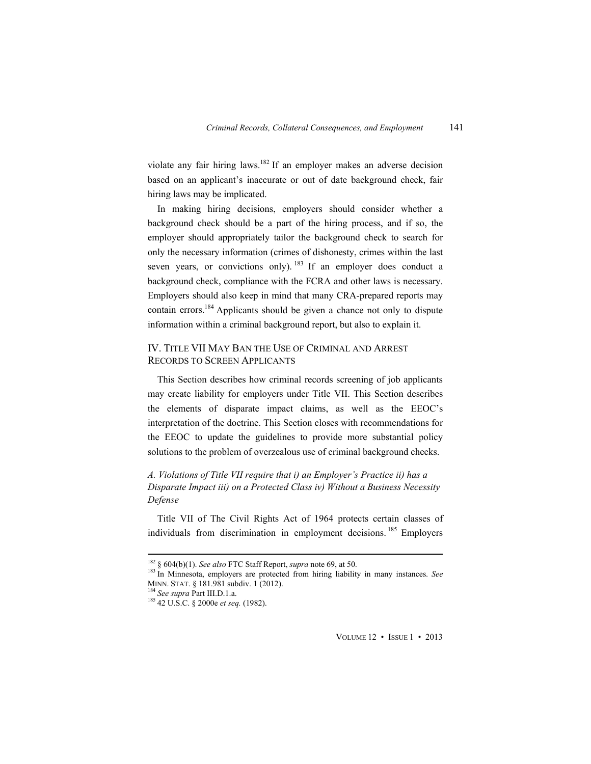violate any fair hiring laws.<sup>182</sup> If an employer makes an adverse decision based on an applicant's inaccurate or out of date background check, fair hiring laws may be implicated.

In making hiring decisions, employers should consider whether a background check should be a part of the hiring process, and if so, the employer should appropriately tailor the background check to search for only the necessary information (crimes of dishonesty, crimes within the last seven years, or convictions only).  $183$  If an employer does conduct a background check, compliance with the FCRA and other laws is necessary. Employers should also keep in mind that many CRA-prepared reports may contain errors.<sup>184</sup> Applicants should be given a chance not only to dispute information within a criminal background report, but also to explain it.

## IV. TITLE VII MAY BAN THE USE OF CRIMINAL AND ARREST RECORDS TO SCREEN APPLICANTS

This Section describes how criminal records screening of job applicants may create liability for employers under Title VII. This Section describes the elements of disparate impact claims, as well as the EEOC's interpretation of the doctrine. This Section closes with recommendations for the EEOC to update the guidelines to provide more substantial policy solutions to the problem of overzealous use of criminal background checks.

*A. Violations of Title VII require that i) an Employer's Practice ii) has a Disparate Impact iii) on a Protected Class iv) Without a Business Necessity Defense* 

Title VII of The Civil Rights Act of 1964 protects certain classes of individuals from discrimination in employment decisions.<sup>185</sup> Employers

 $\overline{a}$ 

VOLUME 12 • ISSUE 1 • 2013

<sup>&</sup>lt;sup>182</sup> § 604(b)(1). *See also* FTC Staff Report, *supra* note 69, at 50. <sup>183</sup> In Minnesota, employers are protected from hiring liability in many instances. *See* MINN. STAT. § 181.981 subdiv. 1 (2012). 184 *See supra* Part III.D.1.a. 185 42 U.S.C. § 2000e *et seq.* (1982).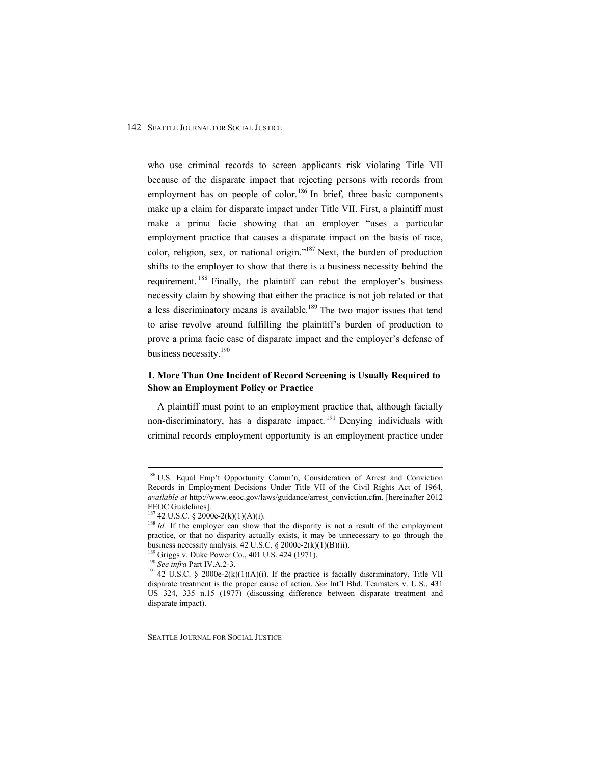who use criminal records to screen applicants risk violating Title VII because of the disparate impact that rejecting persons with records from employment has on people of color.<sup>186</sup> In brief, three basic components make up a claim for disparate impact under Title VII. First, a plaintiff must make a prima facie showing that an employer "uses a particular employment practice that causes a disparate impact on the basis of race, color, religion, sex, or national origin."<sup>187</sup> Next, the burden of production shifts to the employer to show that there is a business necessity behind the requirement. <sup>188</sup> Finally, the plaintiff can rebut the employer's business necessity claim by showing that either the practice is not job related or that a less discriminatory means is available.<sup>189</sup> The two major issues that tend to arise revolve around fulfilling the plaintiff's burden of production to prove a prima facie case of disparate impact and the employer's defense of business necessity.<sup>190</sup>

## **1. More Than One Incident of Record Screening is Usually Required to Show an Employment Policy or Practice**

A plaintiff must point to an employment practice that, although facially non-discriminatory, has a disparate impact. 191 Denying individuals with criminal records employment opportunity is an employment practice under

 $\overline{a}$ 

<sup>&</sup>lt;sup>186</sup> U.S. Equal Emp't Opportunity Comm'n, Consideration of Arrest and Conviction Records in Employment Decisions Under Title VII of the Civil Rights Act of 1964, *available at* http://www.eeoc.gov/laws/guidance/arrest\_conviction.cfm. [hereinafter 2012 EEOC Guidelines].<br> $^{187}$  42 U.S.C. § 2000e-2(k)(1)(A)(i).

<sup>&</sup>lt;sup>188</sup> *Id.* If the employer can show that the disparity is not a result of the employment practice, or that no disparity actually exists, it may be unnecessary to go through the business necessity analysis. 42 U.S.C. § 2000e-2(k)(1)(B)(ii).<br><sup>189</sup> Griggs v. Duke Power Co., 401 U.S. 424 (1971).<br><sup>190</sup> *See infra* Part IV.A.2-3.<br><sup>191</sup> 42 U.S.C. § 2000e-2(k)(1)(A)(i). If the practice is facially discr

disparate treatment is the proper cause of action. *See* Int'l Bhd. Teamsters v. U.S., 431 US 324, 335 n.15 (1977) (discussing difference between disparate treatment and disparate impact).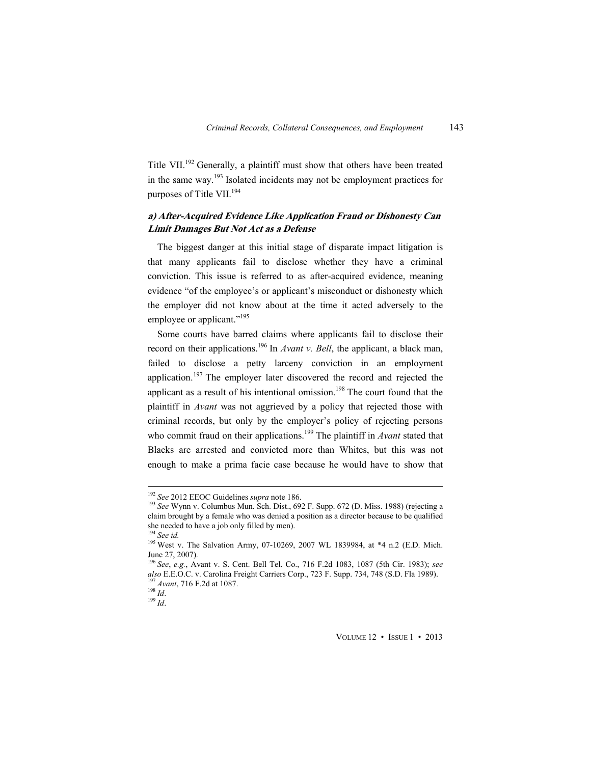Title VII.<sup>192</sup> Generally, a plaintiff must show that others have been treated in the same way.193 Isolated incidents may not be employment practices for purposes of Title VII.<sup>194</sup>

## **a) After-Acquired Evidence Like Application Fraud or Dishonesty Can Limit Damages But Not Act as a Defense**

The biggest danger at this initial stage of disparate impact litigation is that many applicants fail to disclose whether they have a criminal conviction. This issue is referred to as after-acquired evidence, meaning evidence "of the employee's or applicant's misconduct or dishonesty which the employer did not know about at the time it acted adversely to the employee or applicant."<sup>195</sup>

Some courts have barred claims where applicants fail to disclose their record on their applications.<sup>196</sup> In *Avant v. Bell*, the applicant, a black man, failed to disclose a petty larceny conviction in an employment application.<sup>197</sup> The employer later discovered the record and rejected the applicant as a result of his intentional omission.<sup>198</sup> The court found that the plaintiff in *Avant* was not aggrieved by a policy that rejected those with criminal records, but only by the employer's policy of rejecting persons who commit fraud on their applications.<sup>199</sup> The plaintiff in *Avant* stated that Blacks are arrested and convicted more than Whites, but this was not enough to make a prima facie case because he would have to show that

 $\overline{a}$ 

VOLUME 12 • ISSUE 1 • 2013

<sup>&</sup>lt;sup>192</sup> See 2012 EEOC Guidelines *supra* note 186.<br><sup>193</sup> See Wynn v. Columbus Mun. Sch. Dist., 692 F. Supp. 672 (D. Miss. 1988) (rejecting a claim brought by a female who was denied a position as a director because to be qualified she needed to have a job only filled by men).<br><sup>194</sup> See id.

<sup>&</sup>lt;sup>195</sup> West v. The Salvation Army, 07-10269, 2007 WL 1839984, at \*4 n.2 (E.D. Mich. June 27, 2007).

<sup>196</sup> *See*, *e.g.*, Avant v. S. Cent. Bell Tel. Co., 716 F.2d 1083, 1087 (5th Cir. 1983); *see also* E.E.O.C. v. Carolina Freight Carriers Corp., 723 F. Supp. 734, 748 (S.D. Fla 1989). <sup>197</sup> *Avant*, 716 F.2d at 1087. <sup>198</sup> *Id.* 198 *Id.* 199 *Id.* 198 *Id.* 198 *Id.* 198 *Id.*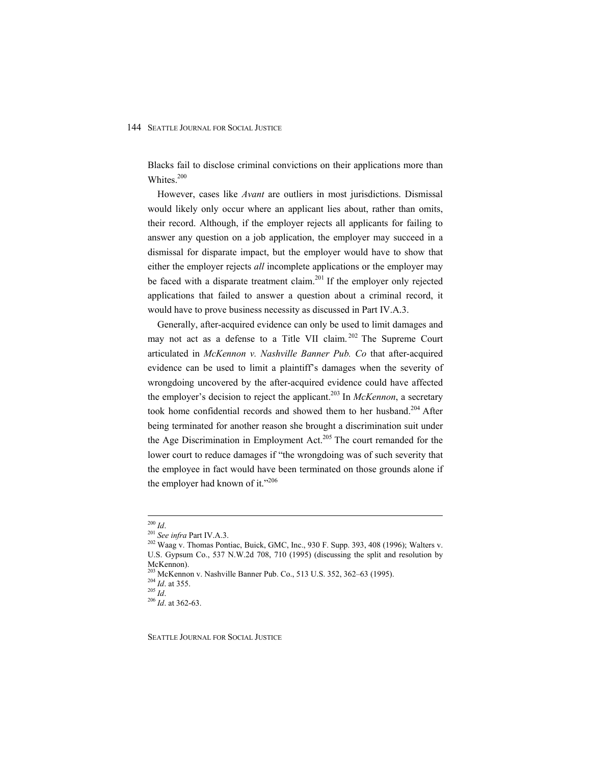Blacks fail to disclose criminal convictions on their applications more than Whites.<sup>200</sup>

However, cases like *Avant* are outliers in most jurisdictions. Dismissal would likely only occur where an applicant lies about, rather than omits, their record. Although, if the employer rejects all applicants for failing to answer any question on a job application, the employer may succeed in a dismissal for disparate impact, but the employer would have to show that either the employer rejects *all* incomplete applications or the employer may be faced with a disparate treatment claim.<sup>201</sup> If the employer only rejected applications that failed to answer a question about a criminal record, it would have to prove business necessity as discussed in Part IV.A.3.

Generally, after-acquired evidence can only be used to limit damages and may not act as a defense to a Title VII claim.<sup>202</sup> The Supreme Court articulated in *McKennon v. Nashville Banner Pub. Co* that after-acquired evidence can be used to limit a plaintiff's damages when the severity of wrongdoing uncovered by the after-acquired evidence could have affected the employer's decision to reject the applicant.<sup>203</sup> In *McKennon*, a secretary took home confidential records and showed them to her husband.<sup>204</sup> After being terminated for another reason she brought a discrimination suit under the Age Discrimination in Employment Act.<sup>205</sup> The court remanded for the lower court to reduce damages if "the wrongdoing was of such severity that the employee in fact would have been terminated on those grounds alone if the employer had known of it."<sup>206</sup>

 $10^{200}$  *Id.* 

<sup>&</sup>lt;sup>201</sup> See infra Part IV.A.3.<br><sup>202</sup> Waag v. Thomas Pontiac, Buick, GMC, Inc., 930 F. Supp. 393, 408 (1996); Walters v. U.S. Gypsum Co., 537 N.W.2d 708, 710 (1995) (discussing the split and resolution by McKennon).

<sup>&</sup>lt;sup>203</sup> McKennon v. Nashville Banner Pub. Co., 513 U.S. 352, 362–63 (1995).<br><sup>204</sup> *Id.* at 355.<br><sup>205</sup> *Id.* 206 *Id.* at 362-63.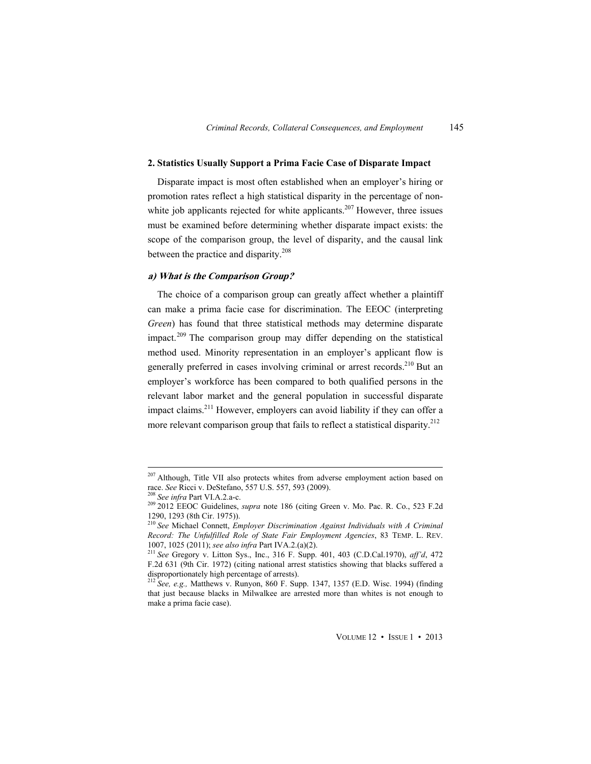#### **2. Statistics Usually Support a Prima Facie Case of Disparate Impact**

Disparate impact is most often established when an employer's hiring or promotion rates reflect a high statistical disparity in the percentage of nonwhite job applicants rejected for white applicants.<sup>207</sup> However, three issues must be examined before determining whether disparate impact exists: the scope of the comparison group, the level of disparity, and the causal link between the practice and disparity.<sup>208</sup>

## **a) What is the Comparison Group?**

The choice of a comparison group can greatly affect whether a plaintiff can make a prima facie case for discrimination. The EEOC (interpreting *Green*) has found that three statistical methods may determine disparate impact.<sup>209</sup> The comparison group may differ depending on the statistical method used. Minority representation in an employer's applicant flow is generally preferred in cases involving criminal or arrest records.<sup>210</sup> But an employer's workforce has been compared to both qualified persons in the relevant labor market and the general population in successful disparate impact claims.<sup>211</sup> However, employers can avoid liability if they can offer a more relevant comparison group that fails to reflect a statistical disparity.<sup>212</sup>

<sup>&</sup>lt;sup>207</sup> Although, Title VII also protects whites from adverse employment action based on race. *See* Ricci v. DeStefano, 557 U.S. 557, 593 (2009).<br><sup>208</sup> *See infra* Part VI.A.2.a-c.<br><sup>209</sup> 2012 EEOC Guidelines, *supra* note 186 (citing Green v. Mo. Pac. R. Co., 523 F.2d

<sup>1290, 1293 (8</sup>th Cir. 1975)).

<sup>210</sup> *See* Michael Connett, *Employer Discrimination Against Individuals with A Criminal Record: The Unfulfilled Role of State Fair Employment Agencies*, 83 TEMP. L. REV.

<sup>&</sup>lt;sup>211</sup> See Gregory v. Litton Sys., Inc., 316 F. Supp. 401, 403 (C.D.Cal.1970), *aff'd*, 472 F.2d 631 (9th Cir. 1972) (citing national arrest statistics showing that blacks suffered a disproportionately high percentage of arrests).

<sup>212</sup> *See, e.g.,* Matthews v. Runyon, 860 F. Supp. 1347, 1357 (E.D. Wisc. 1994) (finding that just because blacks in Milwalkee are arrested more than whites is not enough to make a prima facie case).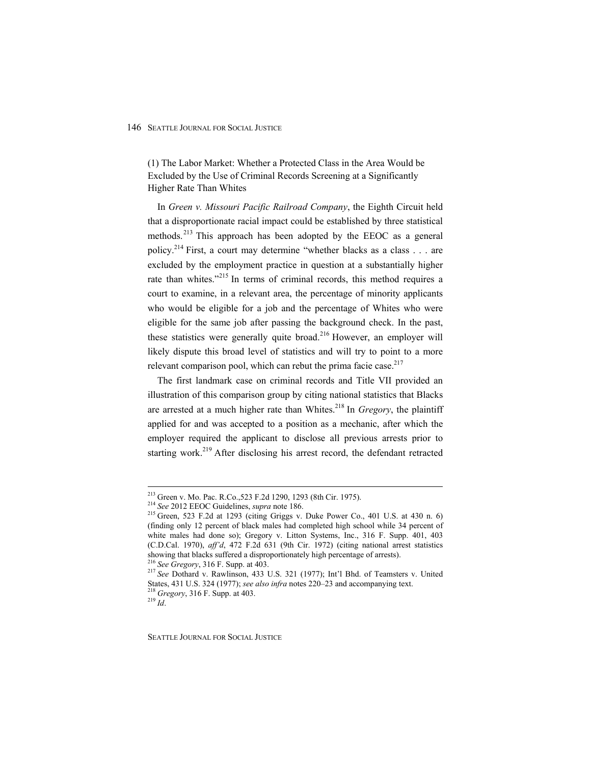(1) The Labor Market: Whether a Protected Class in the Area Would be Excluded by the Use of Criminal Records Screening at a Significantly Higher Rate Than Whites

In *Green v. Missouri Pacific Railroad Company*, the Eighth Circuit held that a disproportionate racial impact could be established by three statistical methods.<sup>213</sup> This approach has been adopted by the EEOC as a general policy.214 First, a court may determine "whether blacks as a class . . . are excluded by the employment practice in question at a substantially higher rate than whites."<sup>215</sup> In terms of criminal records, this method requires a court to examine, in a relevant area, the percentage of minority applicants who would be eligible for a job and the percentage of Whites who were eligible for the same job after passing the background check. In the past, these statistics were generally quite broad.<sup>216</sup> However, an employer will likely dispute this broad level of statistics and will try to point to a more relevant comparison pool, which can rebut the prima facie case. $217$ 

The first landmark case on criminal records and Title VII provided an illustration of this comparison group by citing national statistics that Blacks are arrested at a much higher rate than Whites.<sup>218</sup> In *Gregory*, the plaintiff applied for and was accepted to a position as a mechanic, after which the employer required the applicant to disclose all previous arrests prior to starting work.<sup>219</sup> After disclosing his arrest record, the defendant retracted

 $\overline{a}$ 

<sup>&</sup>lt;sup>213</sup> Green v. Mo. Pac. R.Co.,523 F.2d 1290, 1293 (8th Cir. 1975).<br><sup>214</sup> See 2012 EEOC Guidelines, *supra* note 186.<br><sup>215</sup> Green, 523 F.2d at 1293 (citing Griggs v. Duke Power Co., 401 U.S. at 430 n. 6) (finding only 12 percent of black males had completed high school while 34 percent of white males had done so); Gregory v. Litton Systems, Inc., 316 F. Supp. 401, 403 (C.D.Cal. 1970), *aff'd*, 472 F.2d 631 (9th Cir. 1972) (citing national arrest statistics showing that blacks suffered a disproportionately high percentage of arrests). 216 *See Gregory*, 316 F. Supp. at 403. 217 *See* Dothard v. Rawlinson, 433 U.S. 321 (1977); Int'l Bhd. of Teamsters v. United

States, 431 U.S. 324 (1977); *see also infra* notes 220–23 and accompanying text. 218 *Gregory*, 316 F. Supp. at 403. 219 *Id*.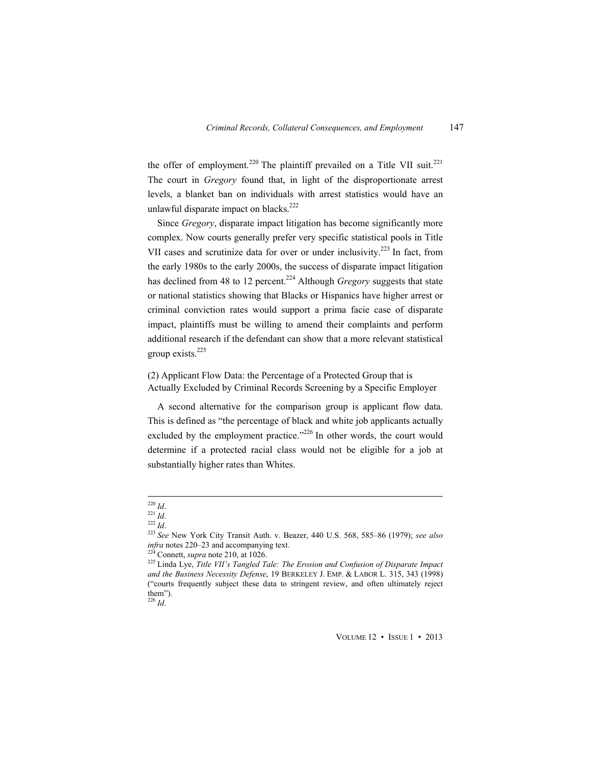the offer of employment.<sup>220</sup> The plaintiff prevailed on a Title VII suit.<sup>221</sup> The court in *Gregory* found that, in light of the disproportionate arrest levels, a blanket ban on individuals with arrest statistics would have an unlawful disparate impact on blacks.<sup>222</sup>

Since *Gregory*, disparate impact litigation has become significantly more complex. Now courts generally prefer very specific statistical pools in Title VII cases and scrutinize data for over or under inclusivity.<sup>223</sup> In fact, from the early 1980s to the early 2000s, the success of disparate impact litigation has declined from 48 to 12 percent.<sup>224</sup> Although *Gregory* suggests that state or national statistics showing that Blacks or Hispanics have higher arrest or criminal conviction rates would support a prima facie case of disparate impact, plaintiffs must be willing to amend their complaints and perform additional research if the defendant can show that a more relevant statistical group exists.225

(2) Applicant Flow Data: the Percentage of a Protected Group that is Actually Excluded by Criminal Records Screening by a Specific Employer

A second alternative for the comparison group is applicant flow data. This is defined as "the percentage of black and white job applicants actually excluded by the employment practice." $^{226}$  In other words, the court would determine if a protected racial class would not be eligible for a job at substantially higher rates than Whites.

VOLUME 12 • ISSUE 1 • 2013

 $^{220}$  Id.

<sup>&</sup>lt;sup>221</sup> *Id.* <sup>222</sup> *Id.* <sup>222</sup> *Id.* <sup>222</sup> *Id.* <sup>223</sup> *See* New York City Transit Auth. v. Beazer, 440 U.S. 568, 585–86 (1979); *see also infra* notes 220–23 and accompanying text. <sup>224</sup> Connett, *supra* note 210, at 1026.

<sup>&</sup>lt;sup>225</sup> Linda Lye, *Title VII's Tangled Tale: The Erosion and Confusion of Disparate Impact and the Business Necessity Defense*, 19 BERKELEY J. EMP. & LABOR L. 315, 343 (1998) ("courts frequently subject these data to stringent review, and often ultimately reject them"). <sup>226</sup> *Id*.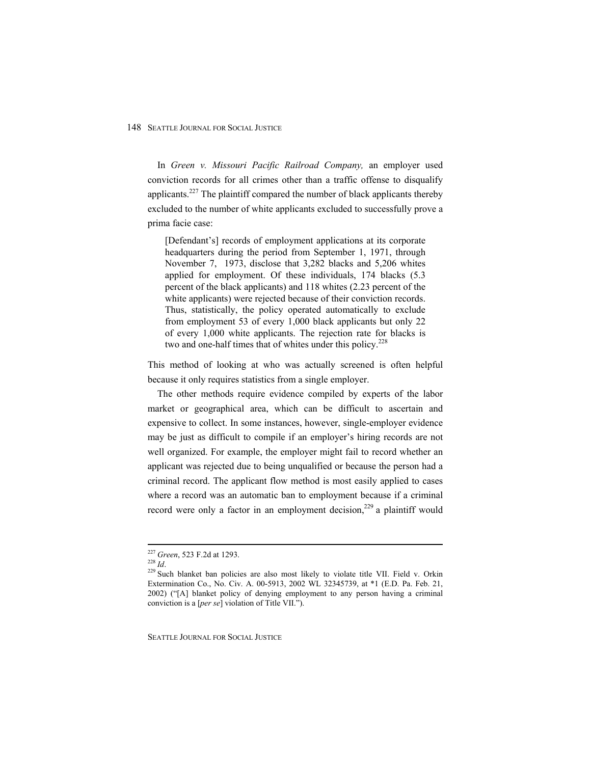In *Green v. Missouri Pacific Railroad Company,* an employer used conviction records for all crimes other than a traffic offense to disqualify applicants.<sup>227</sup> The plaintiff compared the number of black applicants thereby excluded to the number of white applicants excluded to successfully prove a prima facie case:

[Defendant's] records of employment applications at its corporate headquarters during the period from September 1, 1971, through November 7, 1973, disclose that 3,282 blacks and 5,206 whites applied for employment. Of these individuals, 174 blacks (5.3 percent of the black applicants) and 118 whites (2.23 percent of the white applicants) were rejected because of their conviction records. Thus, statistically, the policy operated automatically to exclude from employment 53 of every 1,000 black applicants but only 22 of every 1,000 white applicants. The rejection rate for blacks is two and one-half times that of whites under this policy.<sup>228</sup>

This method of looking at who was actually screened is often helpful because it only requires statistics from a single employer.

The other methods require evidence compiled by experts of the labor market or geographical area, which can be difficult to ascertain and expensive to collect. In some instances, however, single-employer evidence may be just as difficult to compile if an employer's hiring records are not well organized. For example, the employer might fail to record whether an applicant was rejected due to being unqualified or because the person had a criminal record. The applicant flow method is most easily applied to cases where a record was an automatic ban to employment because if a criminal record were only a factor in an employment decision,<sup>229</sup> a plaintiff would

<sup>&</sup>lt;sup>227</sup> Green, 523 F.2d at 1293.

<sup>228</sup> *Id.* 229 Such blanket ban policies are also most likely to violate title VII. Field v. Orkin 229 Such blanket ban policies are also most likely to violate title VII. Field v. Orkin Extermination Co., No. Civ. A. 00-5913, 2002 WL 32345739, at \*1 (E.D. Pa. Feb. 21, 2002) ("[A] blanket policy of denying employment to any person having a criminal conviction is a [*per se*] violation of Title VII.").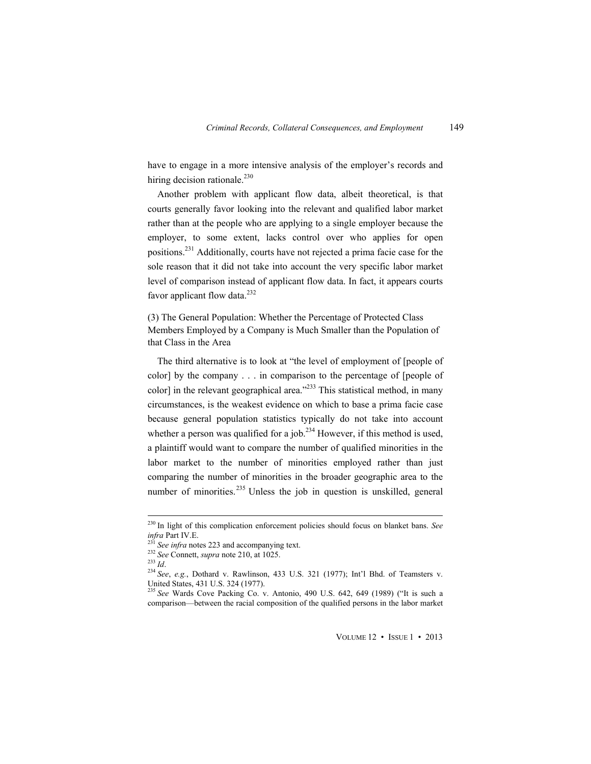have to engage in a more intensive analysis of the employer's records and hiring decision rationale.<sup>230</sup>

Another problem with applicant flow data, albeit theoretical, is that courts generally favor looking into the relevant and qualified labor market rather than at the people who are applying to a single employer because the employer, to some extent, lacks control over who applies for open positions.231 Additionally, courts have not rejected a prima facie case for the sole reason that it did not take into account the very specific labor market level of comparison instead of applicant flow data. In fact, it appears courts favor applicant flow data. $^{232}$ 

(3) The General Population: Whether the Percentage of Protected Class Members Employed by a Company is Much Smaller than the Population of that Class in the Area

The third alternative is to look at "the level of employment of [people of color] by the company . . . in comparison to the percentage of [people of color] in the relevant geographical area." $^{233}$  This statistical method, in many circumstances, is the weakest evidence on which to base a prima facie case because general population statistics typically do not take into account whether a person was qualified for a job.<sup>234</sup> However, if this method is used, a plaintiff would want to compare the number of qualified minorities in the labor market to the number of minorities employed rather than just comparing the number of minorities in the broader geographic area to the number of minorities.<sup>235</sup> Unless the job in question is unskilled, general

 $\overline{a}$ 

VOLUME 12 • ISSUE 1 • 2013

<sup>230</sup> In light of this complication enforcement policies should focus on blanket bans. *See infra Part IV.E.*<br>
<sup>231</sup> *See infra notes* 223 and accompanying text.<br>
<sup>232</sup> *See Connett, supra note* 210, at 1025.<br>
<sup>234</sup> *See, e.g.*, Dothard v. Rawlinson, 433 U.S. 321 (1977); Int'l Bhd. of Teamsters v.

United States, 431 U.S. 324 (1977).

<sup>235</sup> *See* Wards Cove Packing Co. v. Antonio, 490 U.S. 642, 649 (1989) ("It is such a comparison—between the racial composition of the qualified persons in the labor market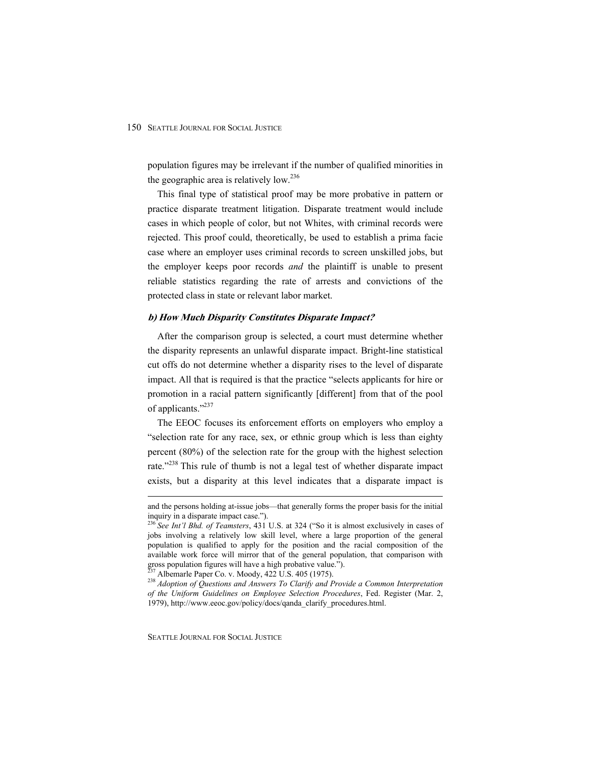population figures may be irrelevant if the number of qualified minorities in the geographic area is relatively low. $236$ 

This final type of statistical proof may be more probative in pattern or practice disparate treatment litigation. Disparate treatment would include cases in which people of color, but not Whites, with criminal records were rejected. This proof could, theoretically, be used to establish a prima facie case where an employer uses criminal records to screen unskilled jobs, but the employer keeps poor records *and* the plaintiff is unable to present reliable statistics regarding the rate of arrests and convictions of the protected class in state or relevant labor market.

#### **b) How Much Disparity Constitutes Disparate Impact?**

After the comparison group is selected, a court must determine whether the disparity represents an unlawful disparate impact. Bright-line statistical cut offs do not determine whether a disparity rises to the level of disparate impact. All that is required is that the practice "selects applicants for hire or promotion in a racial pattern significantly [different] from that of the pool of applicants."237

The EEOC focuses its enforcement efforts on employers who employ a "selection rate for any race, sex, or ethnic group which is less than eighty percent (80%) of the selection rate for the group with the highest selection rate."<sup>238</sup> This rule of thumb is not a legal test of whether disparate impact exists, but a disparity at this level indicates that a disparate impact is

and the persons holding at-issue jobs—that generally forms the proper basis for the initial inquiry in a disparate impact case.").

<sup>236</sup> *See Int'l Bhd. of Teamsters*, 431 U.S. at 324 ("So it is almost exclusively in cases of jobs involving a relatively low skill level, where a large proportion of the general population is qualified to apply for the position and the racial composition of the available work force will mirror that of the general population, that comparison with gross population figures will have a high probative value.").<br><sup>237</sup> Albemarle Paper Co. v. Moody, 422 U.S. 405 (1975).

<sup>&</sup>lt;sup>238</sup> Adoption of Questions and Answers To Clarify and Provide a Common Interpretation *of the Uniform Guidelines on Employee Selection Procedures*, Fed. Register (Mar. 2, 1979), http://www.eeoc.gov/policy/docs/qanda\_clarify\_procedures.html.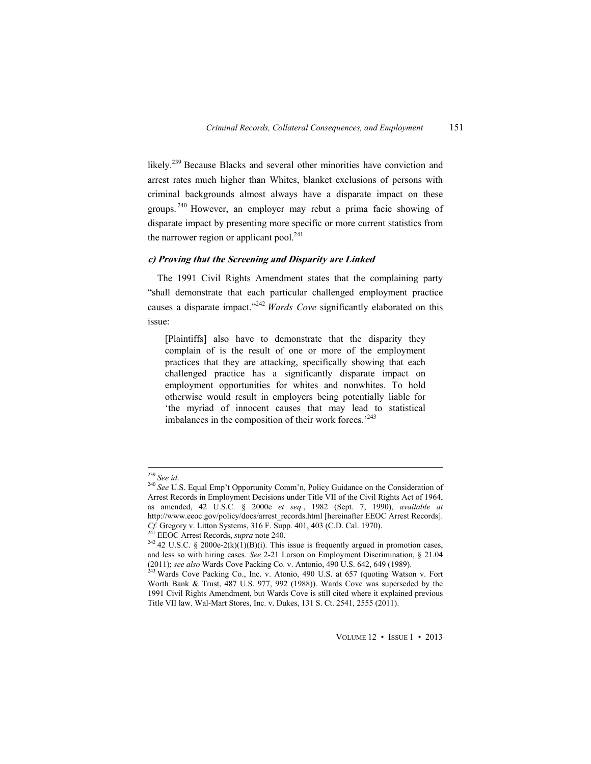likely.<sup>239</sup> Because Blacks and several other minorities have conviction and arrest rates much higher than Whites, blanket exclusions of persons with criminal backgrounds almost always have a disparate impact on these groups. 240 However, an employer may rebut a prima facie showing of disparate impact by presenting more specific or more current statistics from the narrower region or applicant pool. $241$ 

#### **c) Proving that the Screening and Disparity are Linked**

The 1991 Civil Rights Amendment states that the complaining party "shall demonstrate that each particular challenged employment practice causes a disparate impact."<sup>242</sup> *Wards Cove* significantly elaborated on this issue:

[Plaintiffs] also have to demonstrate that the disparity they complain of is the result of one or more of the employment practices that they are attacking, specifically showing that each challenged practice has a significantly disparate impact on employment opportunities for whites and nonwhites. To hold otherwise would result in employers being potentially liable for 'the myriad of innocent causes that may lead to statistical imbalances in the composition of their work forces.<sup>243</sup>

 $239$  See id.

<sup>&</sup>lt;sup>240</sup> See U.S. Equal Emp't Opportunity Comm'n, Policy Guidance on the Consideration of Arrest Records in Employment Decisions under Title VII of the Civil Rights Act of 1964, as amended, 42 U.S.C. § 2000e *et seq.*, 1982 (Sept. 7, 1990), *available at*  http://www.eeoc.gov/policy/docs/arrest\_records.html [hereinafter EEOC Arrest Records]. *Cf.* Gregory v. Litton Systems, 316 F. Supp. 401, 403 (C.D. Cal. 1970).<br>
<sup>241</sup> EEOC Arrest Records, *supra* note 240.<br>
<sup>242</sup> 42 U.S.C. § 2000e-2(k)(1)(B)(i). This issue is frequently argued in promotion cases,

and less so with hiring cases. *See* 2-21 Larson on Employment Discrimination, § 21.04 (2011); *see also* Wards Cove Packing Co. v. Antonio, 490 U.S. 642, 649 (1989). 243 Wards Cove Packing Co., Inc. v. Atonio, 490 U.S. at 657 (quoting Watson v. Fort

Worth Bank & Trust, 487 U.S. 977, 992 (1988)). Wards Cove was superseded by the 1991 Civil Rights Amendment, but Wards Cove is still cited where it explained previous Title VII law. Wal-Mart Stores, Inc. v. Dukes, 131 S. Ct. 2541, 2555 (2011).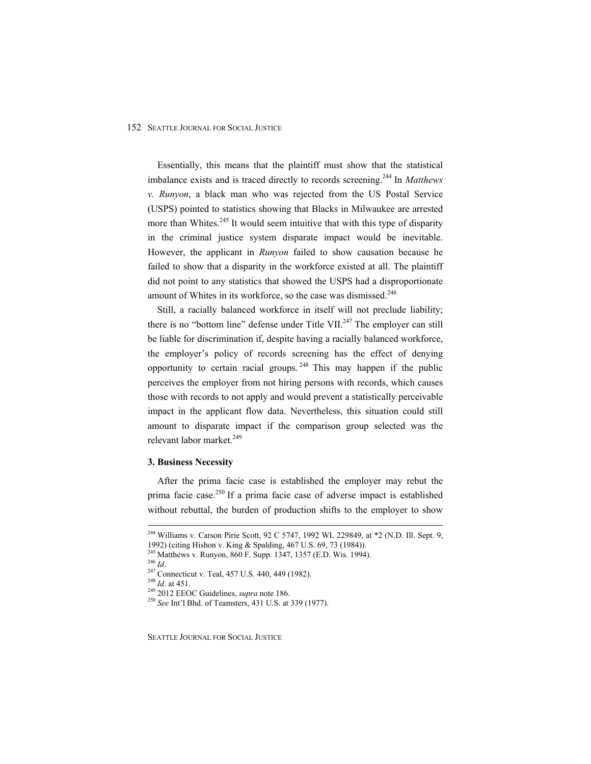Essentially, this means that the plaintiff must show that the statistical imbalance exists and is traced directly to records screening.244 In *Matthews v. Runyon*, a black man who was rejected from the US Postal Service (USPS) pointed to statistics showing that Blacks in Milwaukee are arrested more than Whites. $245$  It would seem intuitive that with this type of disparity in the criminal justice system disparate impact would be inevitable. However, the applicant in *Runyon* failed to show causation because he failed to show that a disparity in the workforce existed at all. The plaintiff did not point to any statistics that showed the USPS had a disproportionate amount of Whites in its workforce, so the case was dismissed.<sup>246</sup>

Still, a racially balanced workforce in itself will not preclude liability; there is no "bottom line" defense under Title VII. $^{247}$  The employer can still be liable for discrimination if, despite having a racially balanced workforce, the employer's policy of records screening has the effect of denying opportunity to certain racial groups.  $248$  This may happen if the public perceives the employer from not hiring persons with records, which causes those with records to not apply and would prevent a statistically perceivable impact in the applicant flow data. Nevertheless, this situation could still amount to disparate impact if the comparison group selected was the relevant labor market.<sup>249</sup>

#### **3. Business Necessity**

After the prima facie case is established the employer may rebut the prima facie case.<sup>250</sup> If a prima facie case of adverse impact is established without rebuttal, the burden of production shifts to the employer to show

 $\overline{a}$ 

<sup>&</sup>lt;sup>244</sup> Williams v. Carson Pirie Scott, 92 C 5747, 1992 WL 229849, at \*2 (N.D. Ill. Sept. 9,

<sup>&</sup>lt;sup>245</sup> Matthews v. Runyon, 860 F. Supp. 1347, 1357 (E.D. Wis. 1994).<br><sup>246</sup> *Id.*<br><sup>247</sup> Connecticut v. Teal, 457 U.S. 440, 449 (1982).<br><sup>248</sup> *Id.* at 451.<br><sup>249</sup> 2012 EEOC Guidelines, *supra* note 186.<br><sup>250</sup> *See* Int'l Bhd.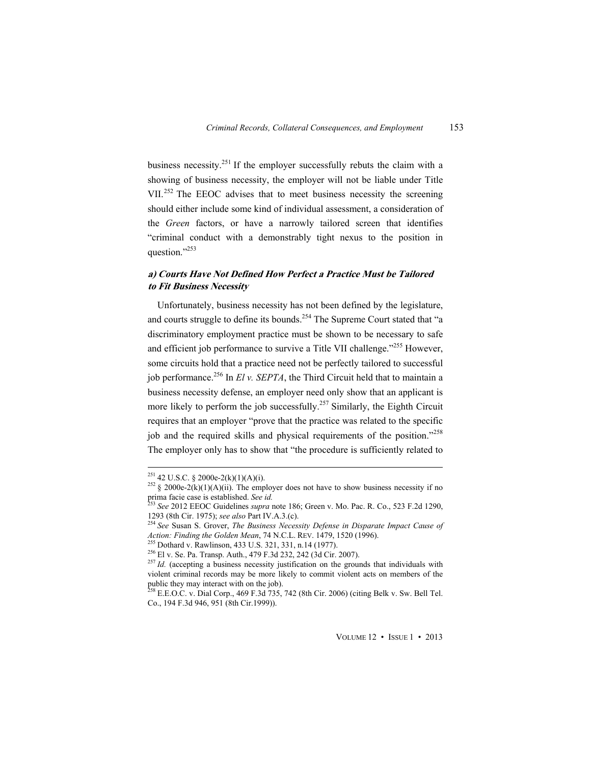business necessity.<sup>251</sup> If the employer successfully rebuts the claim with a showing of business necessity, the employer will not be liable under Title VII.<sup>252</sup> The EEOC advises that to meet business necessity the screening should either include some kind of individual assessment, a consideration of the *Green* factors, or have a narrowly tailored screen that identifies "criminal conduct with a demonstrably tight nexus to the position in question."253

## **a) Courts Have Not Defined How Perfect a Practice Must be Tailored to Fit Business Necessity**

Unfortunately, business necessity has not been defined by the legislature, and courts struggle to define its bounds.<sup>254</sup> The Supreme Court stated that "a discriminatory employment practice must be shown to be necessary to safe and efficient job performance to survive a Title VII challenge."<sup>255</sup> However. some circuits hold that a practice need not be perfectly tailored to successful job performance.<sup>256</sup> In *El v. SEPTA*, the Third Circuit held that to maintain a business necessity defense, an employer need only show that an applicant is more likely to perform the job successfully.<sup>257</sup> Similarly, the Eighth Circuit requires that an employer "prove that the practice was related to the specific job and the required skills and physical requirements of the position."<sup>258</sup> The employer only has to show that "the procedure is sufficiently related to

<sup>&</sup>lt;sup>251</sup> 42 U.S.C. § 2000e-2(k)(1)(A)(i).

<sup>&</sup>lt;sup>252</sup> § 2000e-2(k)(1)(A)(ii). The employer does not have to show business necessity if no prima facie case is established. *See id.* <sup>253</sup> *See* 2012 EEOC Guidelines *supra* note 186; Green v. Mo. Pac. R. Co., 523 F.2d 1290,

<sup>1293 (8</sup>th Cir. 1975); *see also* Part IV.A.3.(c). 254 *See* Susan S. Grover, *The Business Necessity Defense in Disparate Impact Cause of* 

Action: Finding the Golden Mean, 74 N.C.L. REV. 1479, 1520 (1996).<br>
<sup>255</sup> Dothard v. Rawlinson, 433 U.S. 321, 331, n.14 (1977).<br>
<sup>256</sup> El v. Se. Pa. Transp. Auth., 479 F.3d 232, 242 (3d Cir. 2007).<br>
<sup>257</sup> Id. (accepting a

violent criminal records may be more likely to commit violent acts on members of the public they may interact with on the job).

 $^{258}$  E.E.O.C. v. Dial Corp., 469 F.3d 735, 742 (8th Cir. 2006) (citing Belk v. Sw. Bell Tel. Co., 194 F.3d 946, 951 (8th Cir.1999)).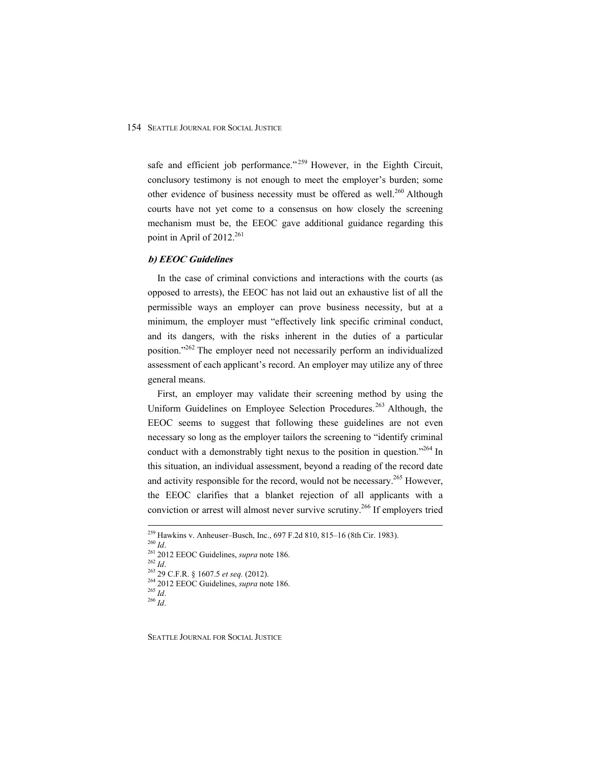safe and efficient job performance."<sup>259</sup> However, in the Eighth Circuit, conclusory testimony is not enough to meet the employer's burden; some other evidence of business necessity must be offered as well.<sup>260</sup> Although courts have not yet come to a consensus on how closely the screening mechanism must be, the EEOC gave additional guidance regarding this point in April of  $2012^{261}$ 

#### **b) EEOC Guidelines**

In the case of criminal convictions and interactions with the courts (as opposed to arrests), the EEOC has not laid out an exhaustive list of all the permissible ways an employer can prove business necessity, but at a minimum, the employer must "effectively link specific criminal conduct, and its dangers, with the risks inherent in the duties of a particular position."262 The employer need not necessarily perform an individualized assessment of each applicant's record. An employer may utilize any of three general means.

First, an employer may validate their screening method by using the Uniform Guidelines on Employee Selection Procedures.<sup>263</sup> Although, the EEOC seems to suggest that following these guidelines are not even necessary so long as the employer tailors the screening to "identify criminal conduct with a demonstrably tight nexus to the position in question."<sup>264</sup> In this situation, an individual assessment, beyond a reading of the record date and activity responsible for the record, would not be necessary.<sup>265</sup> However, the EEOC clarifies that a blanket rejection of all applicants with a conviction or arrest will almost never survive scrutiny.<sup>266</sup> If employers tried

 $\overline{a}$ 

<sup>&</sup>lt;sup>259</sup> Hawkins v. Anheuser–Busch, Inc., 697 F.2d 810, 815–16 (8th Cir. 1983).<br><sup>260</sup> *Id.*<br><sup>261</sup> 2012 EEOC Guidelines, *supra* note 186.<br><sup>262</sup> 2012 EEOC Guidelines, *supra* note 186.<br><sup>263</sup> 29 C.F.R. § 1607.5 *et seq.* (2012)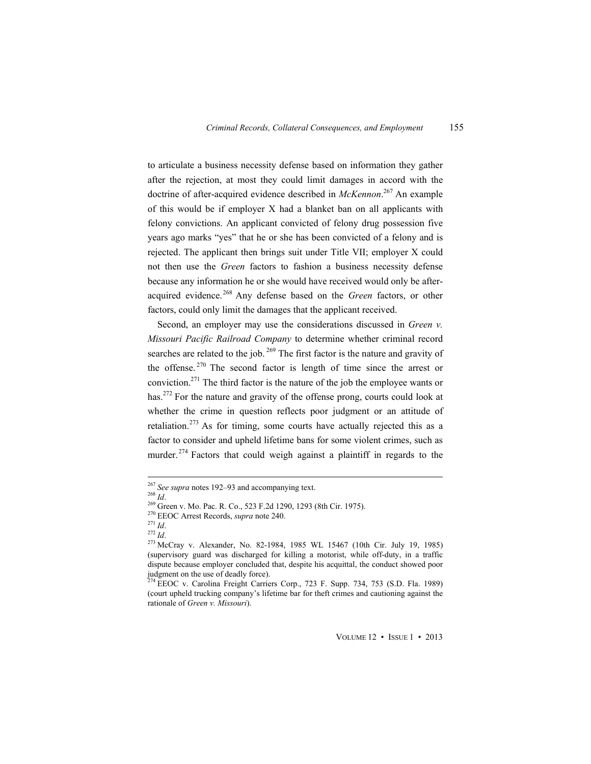to articulate a business necessity defense based on information they gather after the rejection, at most they could limit damages in accord with the doctrine of after-acquired evidence described in *McKennon*. 267 An example of this would be if employer X had a blanket ban on all applicants with felony convictions. An applicant convicted of felony drug possession five years ago marks "yes" that he or she has been convicted of a felony and is rejected. The applicant then brings suit under Title VII; employer X could not then use the *Green* factors to fashion a business necessity defense because any information he or she would have received would only be afteracquired evidence.<sup>268</sup> Any defense based on the *Green* factors, or other factors, could only limit the damages that the applicant received.

Second, an employer may use the considerations discussed in *Green v. Missouri Pacific Railroad Company* to determine whether criminal record searches are related to the job.  $269$  The first factor is the nature and gravity of the offense.  $270$  The second factor is length of time since the arrest or conviction.<sup>271</sup> The third factor is the nature of the job the employee wants or has.<sup>272</sup> For the nature and gravity of the offense prong, courts could look at whether the crime in question reflects poor judgment or an attitude of retaliation.<sup>273</sup> As for timing, some courts have actually rejected this as a factor to consider and upheld lifetime bans for some violent crimes, such as murder.<sup>274</sup> Factors that could weigh against a plaintiff in regards to the

<sup>&</sup>lt;sup>267</sup> See supra notes 192–93 and accompanying text.

<sup>268</sup> Supra notes 122 25 una accompany<br>
269 Green v. Mo. Pac. R. Co., 523 F.2d 1290, 1293 (8th Cir. 1975).<br>
270 EEOC Arrest Records, *supra* note 240.<br>
271 Id.<br>
272 Id.<br>
273 McCray v. Alexander, No. 82-1984, 1985 WL 15467 (1 (supervisory guard was discharged for killing a motorist, while off-duty, in a traffic dispute because employer concluded that, despite his acquittal, the conduct showed poor judgment on the use of deadly force).

<sup>&</sup>lt;sup>274</sup> EEOC v. Carolina Freight Carriers Corp., 723 F. Supp. 734, 753 (S.D. Fla. 1989) (court upheld trucking company's lifetime bar for theft crimes and cautioning against the rationale of *Green v. Missouri*).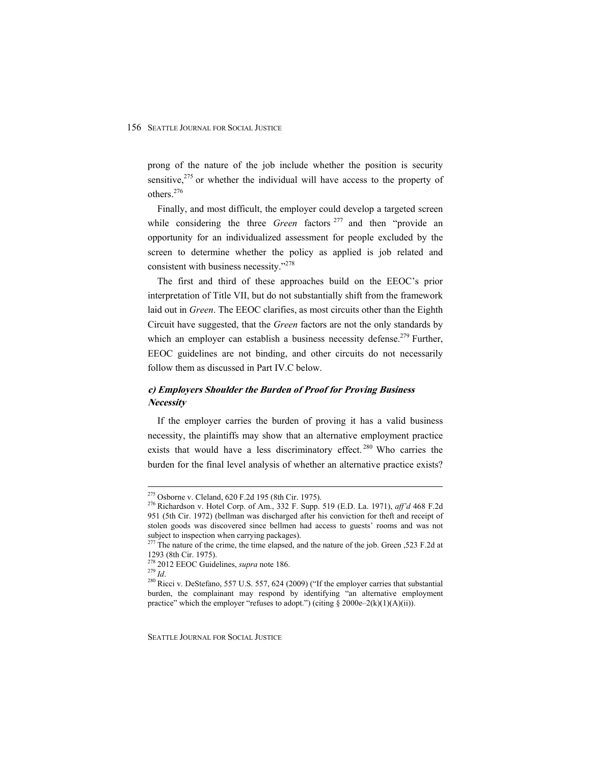prong of the nature of the job include whether the position is security sensitive, $275$  or whether the individual will have access to the property of others.276

Finally, and most difficult, the employer could develop a targeted screen while considering the three *Green* factors<sup>277</sup> and then "provide an opportunity for an individualized assessment for people excluded by the screen to determine whether the policy as applied is job related and consistent with business necessity."278

The first and third of these approaches build on the EEOC's prior interpretation of Title VII, but do not substantially shift from the framework laid out in *Green*. The EEOC clarifies, as most circuits other than the Eighth Circuit have suggested, that the *Green* factors are not the only standards by which an employer can establish a business necessity defense.<sup>279</sup> Further, EEOC guidelines are not binding, and other circuits do not necessarily follow them as discussed in Part IV.C below.

## **c) Employers Shoulder the Burden of Proof for Proving Business Necessity**

If the employer carries the burden of proving it has a valid business necessity, the plaintiffs may show that an alternative employment practice exists that would have a less discriminatory effect.<sup>280</sup> Who carries the burden for the final level analysis of whether an alternative practice exists?

<sup>275</sup> Osborne v. Cleland, 620 F.2d 195 (8th Cir. 1975). 276 Richardson v. Hotel Corp. of Am., 332 F. Supp. 519 (E.D. La. 1971), *aff'd* 468 F.2d 951 (5th Cir. 1972) (bellman was discharged after his conviction for theft and receipt of stolen goods was discovered since bellmen had access to guests' rooms and was not subject to inspection when carrying packages).

 $^{277}$  The nature of the crime, the time elapsed, and the nature of the job. Green ,523 F.2d at 1293 (8th Cir. 1975).<br><sup>278</sup> 2012 EEOC Guidelines, *supra* note 186.

<sup>&</sup>lt;sup>279</sup> Id.<br><sup>279</sup> Id. 280 Ricci v. DeStefano, 557 U.S. 557, 624 (2009) ("If the employer carries that substantial burden, the complainant may respond by identifying "an alternative employment practice" which the employer "refuses to adopt.") (citing  $\S$  2000e–2(k)(1)(A)(ii)).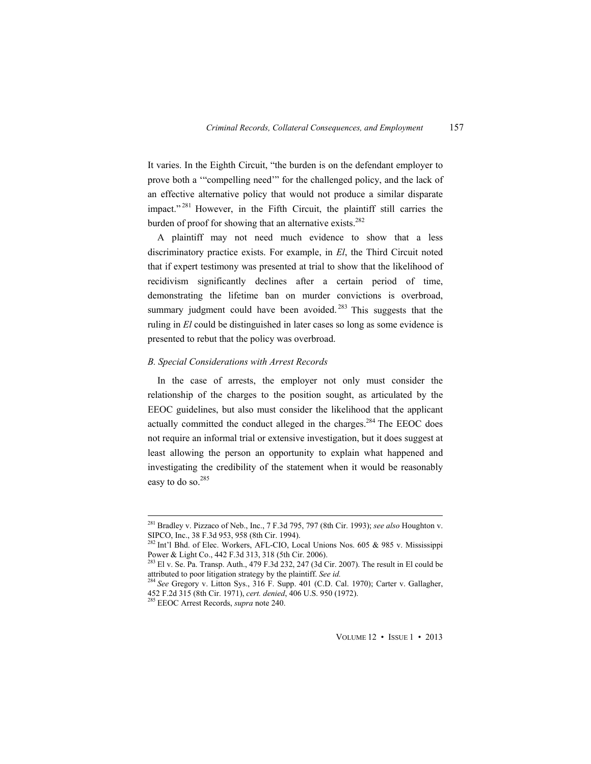It varies. In the Eighth Circuit, "the burden is on the defendant employer to prove both a '"compelling need'" for the challenged policy, and the lack of an effective alternative policy that would not produce a similar disparate impact."<sup>281</sup> However, in the Fifth Circuit, the plaintiff still carries the burden of proof for showing that an alternative exists.<sup>282</sup>

A plaintiff may not need much evidence to show that a less discriminatory practice exists. For example, in *El*, the Third Circuit noted that if expert testimony was presented at trial to show that the likelihood of recidivism significantly declines after a certain period of time, demonstrating the lifetime ban on murder convictions is overbroad, summary judgment could have been avoided.  $283$  This suggests that the ruling in *El* could be distinguished in later cases so long as some evidence is presented to rebut that the policy was overbroad.

#### *B. Special Considerations with Arrest Records*

In the case of arrests, the employer not only must consider the relationship of the charges to the position sought, as articulated by the EEOC guidelines, but also must consider the likelihood that the applicant actually committed the conduct alleged in the charges.<sup>284</sup> The EEOC does not require an informal trial or extensive investigation, but it does suggest at least allowing the person an opportunity to explain what happened and investigating the credibility of the statement when it would be reasonably easy to do so.<sup>285</sup>

<sup>281</sup> Bradley v. Pizzaco of Neb., Inc., 7 F.3d 795, 797 (8th Cir. 1993); *see also* Houghton v. SIPCO, Inc., 38 F.3d 953, 958 (8th Cir. 1994).

 $^{282}$  Int'l Bhd. of Elec. Workers, AFL-CIO, Local Unions Nos. 605 & 985 v. Mississippi Power & Light Co., 442 F.3d 313, 318 (5th Cir. 2006).

<sup>&</sup>lt;sup>283</sup> El v. Se. Pa. Transp. Auth., 479 F.3d 232, 247 (3d Cir. 2007). The result in El could be attributed to poor litigation strategy by the plaintiff. *See id.* 

<sup>&</sup>lt;sup>284</sup> See Gregory v. Litton Sys., 316 F. Supp. 401 (C.D. Cal. 1970); Carter v. Gallagher, 452 F.2d 315 (8th Cir. 1971), *cert. denied*, 406 U.S. 950 (1972). 285 EEOC Arrest Records, *supra* note 240.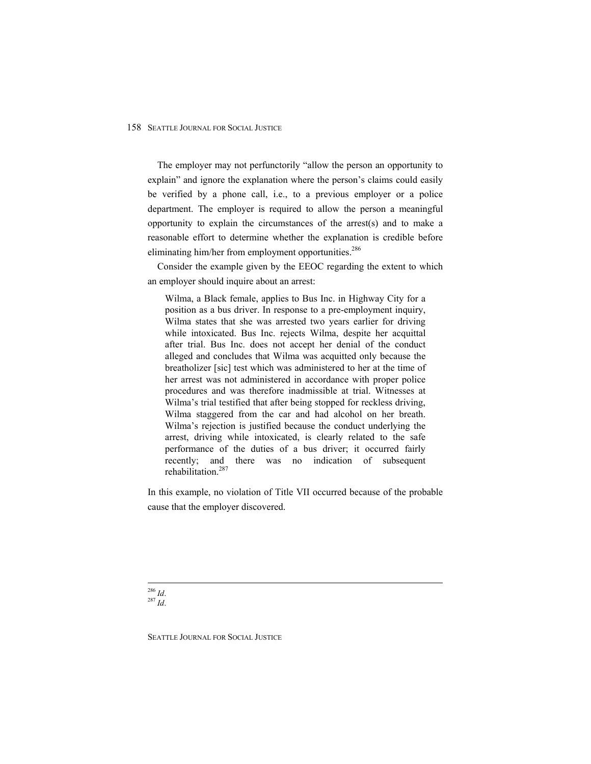The employer may not perfunctorily "allow the person an opportunity to explain" and ignore the explanation where the person's claims could easily be verified by a phone call, i.e., to a previous employer or a police department. The employer is required to allow the person a meaningful opportunity to explain the circumstances of the arrest(s) and to make a reasonable effort to determine whether the explanation is credible before eliminating him/her from employment opportunities.<sup>286</sup>

Consider the example given by the EEOC regarding the extent to which an employer should inquire about an arrest:

Wilma, a Black female, applies to Bus Inc. in Highway City for a position as a bus driver. In response to a pre-employment inquiry, Wilma states that she was arrested two years earlier for driving while intoxicated. Bus Inc. rejects Wilma, despite her acquittal after trial. Bus Inc. does not accept her denial of the conduct alleged and concludes that Wilma was acquitted only because the breatholizer [sic] test which was administered to her at the time of her arrest was not administered in accordance with proper police procedures and was therefore inadmissible at trial. Witnesses at Wilma's trial testified that after being stopped for reckless driving, Wilma staggered from the car and had alcohol on her breath. Wilma's rejection is justified because the conduct underlying the arrest, driving while intoxicated, is clearly related to the safe performance of the duties of a bus driver; it occurred fairly recently; and there was no indication of subsequent rehabilitation.287

In this example, no violation of Title VII occurred because of the probable cause that the employer discovered.

<sup>286</sup> *Id*. 287 *Id*.

 $\overline{a}$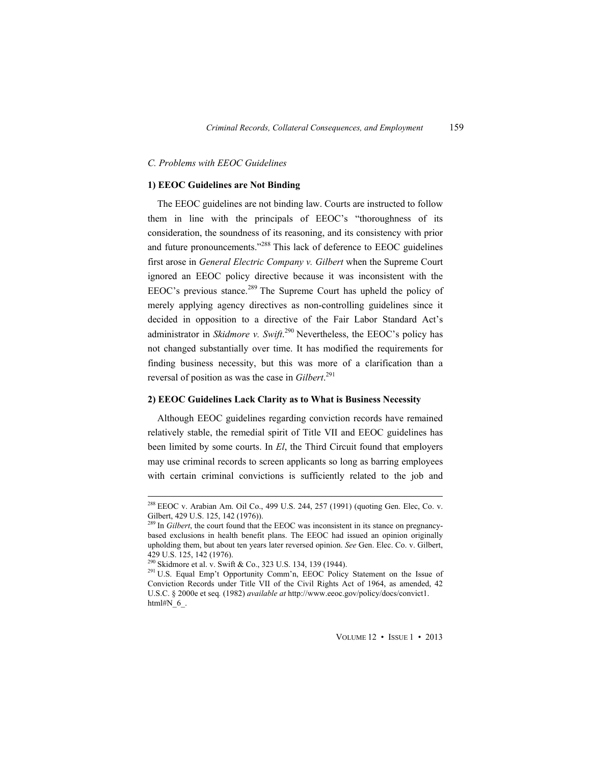#### *C. Problems with EEOC Guidelines*

#### **1) EEOC Guidelines are Not Binding**

The EEOC guidelines are not binding law. Courts are instructed to follow them in line with the principals of EEOC's "thoroughness of its consideration, the soundness of its reasoning, and its consistency with prior and future pronouncements."<sup>288</sup> This lack of deference to EEOC guidelines first arose in *General Electric Company v. Gilbert* when the Supreme Court ignored an EEOC policy directive because it was inconsistent with the EEOC's previous stance.<sup>289</sup> The Supreme Court has upheld the policy of merely applying agency directives as non-controlling guidelines since it decided in opposition to a directive of the Fair Labor Standard Act's administrator in *Skidmore v. Swift*. 290 Nevertheless, the EEOC's policy has not changed substantially over time. It has modified the requirements for finding business necessity, but this was more of a clarification than a reversal of position as was the case in *Gilbert*. 291

#### **2) EEOC Guidelines Lack Clarity as to What is Business Necessity**

Although EEOC guidelines regarding conviction records have remained relatively stable, the remedial spirit of Title VII and EEOC guidelines has been limited by some courts. In *El*, the Third Circuit found that employers may use criminal records to screen applicants so long as barring employees with certain criminal convictions is sufficiently related to the job and

 $^{288}$  EEOC v. Arabian Am. Oil Co., 499 U.S. 244, 257 (1991) (quoting Gen. Elec, Co. v. Gilbert, 429 U.S. 125, 142 (1976)).

<sup>&</sup>lt;sup>289</sup> In *Gilbert*, the court found that the EEOC was inconsistent in its stance on pregnancybased exclusions in health benefit plans. The EEOC had issued an opinion originally upholding them, but about ten years later reversed opinion. *See* Gen. Elec. Co. v. Gilbert, 429 U.S. 125, 142 (1976).<br><sup>290</sup> Skidmore et al. v. Swift & Co., 323 U.S. 134, 139 (1944).

<sup>&</sup>lt;sup>291</sup> U.S. Equal Emp't Opportunity Comm'n, EEOC Policy Statement on the Issue of Conviction Records under Title VII of the Civil Rights Act of 1964, as amended, 42 U.S.C. § 2000e et seq*.* (1982) *available at* http://www.eeoc.gov/policy/docs/convict1. html#N 6.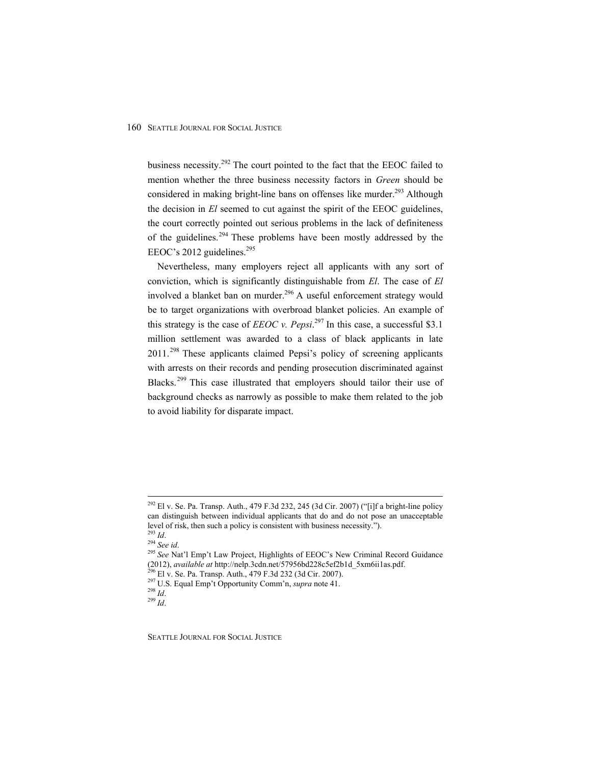business necessity.<sup>292</sup> The court pointed to the fact that the EEOC failed to mention whether the three business necessity factors in *Green* should be considered in making bright-line bans on offenses like murder.<sup>293</sup> Although the decision in *El* seemed to cut against the spirit of the EEOC guidelines, the court correctly pointed out serious problems in the lack of definiteness of the guidelines.<sup>294</sup> These problems have been mostly addressed by the EEOC's 2012 guidelines.<sup>295</sup>

Nevertheless, many employers reject all applicants with any sort of conviction, which is significantly distinguishable from *El*. The case of *El*  involved a blanket ban on murder.<sup>296</sup> A useful enforcement strategy would be to target organizations with overbroad blanket policies. An example of this strategy is the case of *EEOC v. Pepsi*.<sup>297</sup> In this case, a successful \$3.1 million settlement was awarded to a class of black applicants in late  $2011$ <sup>298</sup> These applicants claimed Pepsi's policy of screening applicants with arrests on their records and pending prosecution discriminated against Blacks.<sup>299</sup> This case illustrated that employers should tailor their use of background checks as narrowly as possible to make them related to the job to avoid liability for disparate impact.

<sup>&</sup>lt;sup>292</sup> El v. Se. Pa. Transp. Auth., 479 F.3d 232, 245 (3d Cir. 2007) ("[i]f a bright-line policy can distinguish between individual applicants that do and do not pose an unacceptable level of risk, then such a policy is consistent with business necessity.").<br><sup>293</sup> *Id.* <sup>294</sup> See id. <sup>295</sup> See Nat'l Emp't Law Project, Highlights of EEOC's New Criminal Record Guidance

<sup>(2012),</sup> *available at http://nelp.3cdn.net/57956bd228c5ef2b1d\_5xm6ii1as.pdf*.<br><sup>296</sup> El v. Se. Pa. Transp. Auth., 479 F.3d 232 (3d Cir. 2007).<br><sup>297</sup> U.S. Equal Emp't Opportunity Comm'n, *supra* note 41.<br><sup>298</sup> Id.

SEATTLE JOURNAL FOR SOCIAL JUSTICE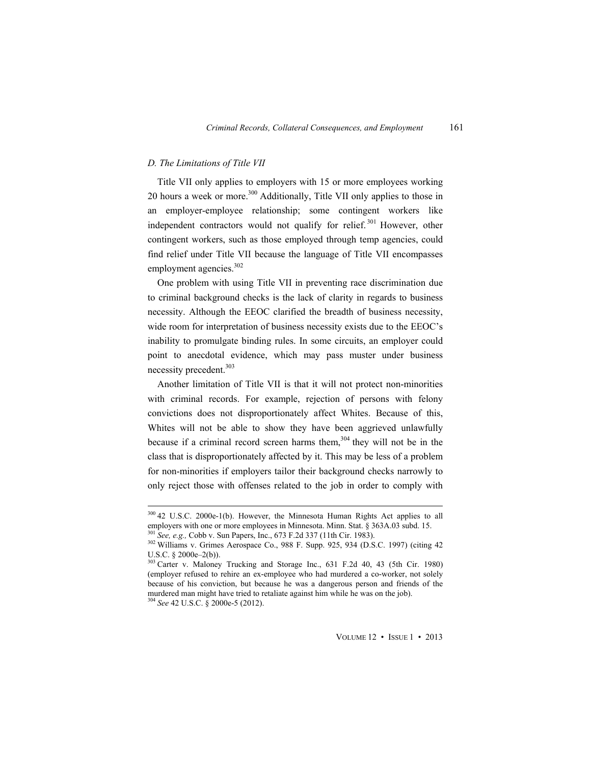#### *D. The Limitations of Title VII*

 $\overline{a}$ 

Title VII only applies to employers with 15 or more employees working 20 hours a week or more.<sup>300</sup> Additionally, Title VII only applies to those in an employer-employee relationship; some contingent workers like independent contractors would not qualify for relief.<sup>301</sup> However, other contingent workers, such as those employed through temp agencies, could find relief under Title VII because the language of Title VII encompasses employment agencies.<sup>302</sup>

One problem with using Title VII in preventing race discrimination due to criminal background checks is the lack of clarity in regards to business necessity. Although the EEOC clarified the breadth of business necessity, wide room for interpretation of business necessity exists due to the EEOC's inability to promulgate binding rules. In some circuits, an employer could point to anecdotal evidence, which may pass muster under business necessity precedent.<sup>303</sup>

Another limitation of Title VII is that it will not protect non-minorities with criminal records. For example, rejection of persons with felony convictions does not disproportionately affect Whites. Because of this, Whites will not be able to show they have been aggrieved unlawfully because if a criminal record screen harms them,  $304$  they will not be in the class that is disproportionately affected by it. This may be less of a problem for non-minorities if employers tailor their background checks narrowly to only reject those with offenses related to the job in order to comply with

<sup>&</sup>lt;sup>300</sup> 42 U.S.C. 2000e-1(b). However, the Minnesota Human Rights Act applies to all employers with one or more employees in Minnesota. Minn. Stat. § 363A.03 subd. 15.<br><sup>301</sup> See, e.g., Cobb v. Sun Papers, Inc., 673 F.2d 337 (11th Cir. 1983).<br><sup>302</sup> Williams v. Grimes Aerospace Co., 988 F. Supp. 925, 934 (D.

U.S.C. § 2000e–2(b)).

<sup>&</sup>lt;sup>303</sup> Carter v. Maloney Trucking and Storage Inc., 631 F.2d 40, 43 (5th Cir. 1980) (employer refused to rehire an ex-employee who had murdered a co-worker, not solely because of his conviction, but because he was a dangerous person and friends of the murdered man might have tried to retaliate against him while he was on the job). 304 *See* 42 U.S.C. § 2000e-5 (2012).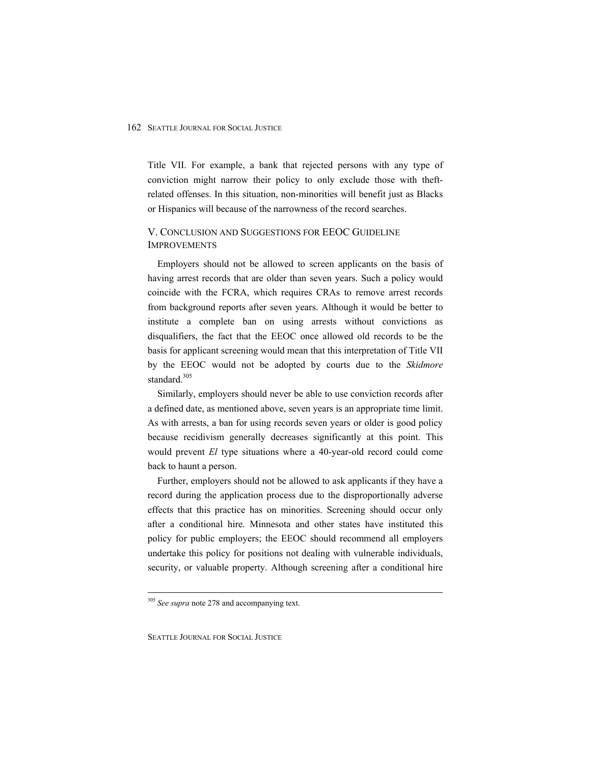Title VII. For example, a bank that rejected persons with any type of conviction might narrow their policy to only exclude those with theftrelated offenses. In this situation, non-minorities will benefit just as Blacks or Hispanics will because of the narrowness of the record searches.

## V. CONCLUSION AND SUGGESTIONS FOR EEOC GUIDELINE IMPROVEMENTS

Employers should not be allowed to screen applicants on the basis of having arrest records that are older than seven years. Such a policy would coincide with the FCRA, which requires CRAs to remove arrest records from background reports after seven years. Although it would be better to institute a complete ban on using arrests without convictions as disqualifiers, the fact that the EEOC once allowed old records to be the basis for applicant screening would mean that this interpretation of Title VII by the EEOC would not be adopted by courts due to the *Skidmore* standard.<sup>305</sup>

Similarly, employers should never be able to use conviction records after a defined date, as mentioned above, seven years is an appropriate time limit. As with arrests, a ban for using records seven years or older is good policy because recidivism generally decreases significantly at this point. This would prevent *El* type situations where a 40-year-old record could come back to haunt a person.

Further, employers should not be allowed to ask applicants if they have a record during the application process due to the disproportionally adverse effects that this practice has on minorities. Screening should occur only after a conditional hire. Minnesota and other states have instituted this policy for public employers; the EEOC should recommend all employers undertake this policy for positions not dealing with vulnerable individuals, security, or valuable property. Although screening after a conditional hire

<sup>305</sup> *See supra* note 278 and accompanying text.